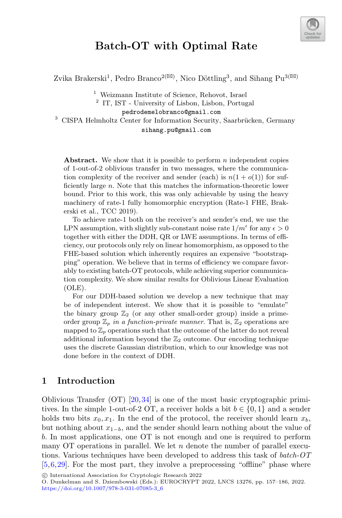

# **Batch-OT with Optimal Rate**

Zvika Brakerski<sup>1</sup>, Pedro Branco<sup>2( $\boxtimes$ )</sup>, Nico Döttling<sup>3</sup>, and Sihang Pu<sup>3( $\boxtimes$ )</sup>

<sup>1</sup> Weizmann Institute of Science, Rehovot, Israel

<sup>2</sup> IT, IST - University of Lisbon, Lisbon, Portugal

pedrodemelobranco@gmail.com

 $3$  CISPA Helmholtz Center for Information Security, Saarbrücken, Germany sihang.pu@gmail.com

**Abstract.** We show that it is possible to perform n independent copies of 1-out-of-2 oblivious transfer in two messages, where the communication complexity of the receiver and sender (each) is  $n(1+o(1))$  for sufficiently large n. Note that this matches the information-theoretic lower bound. Prior to this work, this was only achievable by using the heavy machinery of rate-1 fully homomorphic encryption (Rate-1 FHE, Brakerski et al., TCC 2019).

To achieve rate-1 both on the receiver's and sender's end, we use the LPN assumption, with slightly sub-constant noise rate  $1/m^{\epsilon}$  for any  $\epsilon > 0$ <br>together with either the DDH. OB or LWE assumptions. In terms of effitogether with either the DDH, QR or LWE assumptions. In terms of efficiency, our protocols only rely on linear homomorphism, as opposed to the FHE-based solution which inherently requires an expensive "bootstrapping" operation. We believe that in terms of efficiency we compare favorably to existing batch-OT protocols, while achieving superior communication complexity. We show similar results for Oblivious Linear Evaluation  $(OLE)$ .

For our DDH-based solution we develop a new technique that may be of independent interest. We show that it is possible to "emulate" the binary group  $\mathbb{Z}_2$  (or any other small-order group) inside a primeorder group  $\mathbb{Z}_p$  *in a function-private manner*. That is,  $\mathbb{Z}_2$  operations are mapped to  $\mathbb{Z}_p$  operations such that the outcome of the latter do not reveal additional information beyond the  $\mathbb{Z}_2$  outcome. Our encoding technique uses the discrete Gaussian distribution, which to our knowledge was not done before in the context of DDH.

## **1 Introduction**

Oblivious Transfer (OT) [\[20](#page-28-0)[,34\]](#page-29-0) is one of the most basic cryptographic primitives. In the simple 1-out-of-2 OT, a receiver holds a bit  $b \in \{0,1\}$  and a sender holds two bits  $x_0, x_1$ . In the end of the protocol, the receiver should learn  $x_b$ , but nothing about  $x_{1-b}$ , and the sender should learn nothing about the value of b. In most applications, one OT is not enough and one is required to perform many OT operations in parallel. We let  $n$  denote the number of parallel executions. Various techniques have been developed to address this task of *batch-OT* [\[5](#page-27-0)[,6](#page-27-1),[29\]](#page-29-1). For the most part, they involve a preprocessing "offline" phase where

<sup>-</sup>c International Association for Cryptologic Research 2022

O. Dunkelman and S. Dziembowski (Eds.): EUROCRYPT 2022, LNCS 13276, pp. 157–186, 2022. [https://doi.org/10.1007/978-3-031-07085-3](https://doi.org/10.1007/978-3-031-07085-3_6)\_6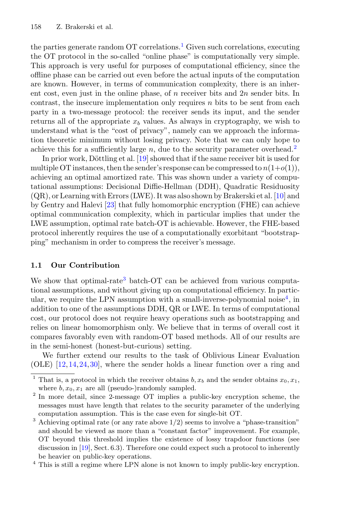the parties generate random  $\overline{OT}$  correlations.<sup>[1](#page-1-0)</sup> Given such correlations, executing the OT protocol in the so-called "online phase" is computationally very simple. This approach is very useful for purposes of computational efficiency, since the offline phase can be carried out even before the actual inputs of the computation are known. However, in terms of communication complexity, there is an inherent cost, even just in the online phase, of  $n$  receiver bits and  $2n$  sender bits. In contrast, the insecure implementation only requires  $n$  bits to be sent from each party in a two-message protocol: the receiver sends its input, and the sender returns all of the appropriate  $x<sub>b</sub>$  values. As always in cryptography, we wish to understand what is the "cost of privacy", namely can we approach the information theoretic minimum without losing privacy. Note that we can only hope to achieve this for a sufficiently large n, due to the security parameter overhead.<sup>[2](#page-1-1)</sup>

In prior work, Döttling et al.  $[19]$  $[19]$  showed that if the same receiver bit is used for multiple OT instances, then the sender's response can be compressed to  $n(1+o(1)),$ achieving an optimal amortized rate. This was shown under a variety of computational assumptions: Decisional Diffie-Hellman (DDH), Quadratic Residuosity (QR), or Learning with Errors (LWE). It was also shown by Brakerski et al. [\[10\]](#page-27-2) and by Gentry and Halevi [\[23\]](#page-28-2) that fully homomorphic encryption (FHE) can achieve optimal communication complexity, which in particular implies that under the LWE assumption, optimal rate batch-OT is achievable. However, the FHE-based protocol inherently requires the use of a computationally exorbitant "bootstrapping" mechanism in order to compress the receiver's message.

#### **1.1 Our Contribution**

We show that optimal-rate<sup>[3](#page-1-2)</sup> batch-OT can be achieved from various computational assumptions, and without giving up on computational efficiency. In partic-ular, we require the LPN assumption with a small-inverse-polynomial noise<sup>[4](#page-1-3)</sup>, in addition to one of the assumptions DDH, QR or LWE. In terms of computational cost, our protocol does not require heavy operations such as bootstrapping and relies on linear homomorphism only. We believe that in terms of overall cost it compares favorably even with random-OT based methods. All of our results are in the semi-honest (honest-but-curious) setting.

We further extend our results to the task of Oblivious Linear Evaluation (OLE) [\[12,](#page-27-3)[14](#page-28-3)[,24,](#page-28-4)[30\]](#page-29-2), where the sender holds a linear function over a ring and

<span id="page-1-0"></span><sup>&</sup>lt;sup>1</sup> That is, a protocol in which the receiver obtains  $b, x_b$  and the sender obtains  $x_0, x_1$ , where  $b, x_0, x_1$  are all (pseudo-)randomly sampled.

<span id="page-1-1"></span> $2$  In more detail, since 2-message OT implies a public-key encryption scheme, the messages must have length that relates to the security parameter of the underlying computation assumption. This is the case even for single-bit OT.

<span id="page-1-2"></span> $3$  Achieving optimal rate (or any rate above  $1/2$ ) seems to involve a "phase-transition" and should be viewed as more than a "constant factor" improvement. For example, OT beyond this threshold implies the existence of lossy trapdoor functions (see discussion in [\[19\]](#page-28-1), Sect. 6.3). Therefore one could expect such a protocol to inherently be heavier on public-key operations.

<span id="page-1-3"></span><sup>4</sup> This is still a regime where LPN alone is not known to imply public-key encryption.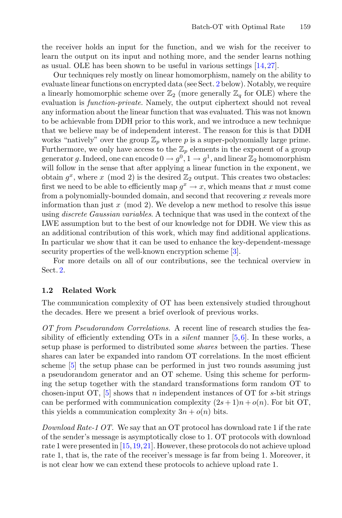the receiver holds an input for the function, and we wish for the receiver to learn the output on its input and nothing more, and the sender learns nothing as usual. OLE has been shown to be useful in various settings [\[14](#page-28-3)[,27](#page-28-5)].

Our techniques rely mostly on linear homomorphism, namely on the ability to evaluate linear functions on encrypted data (see Sect. [2](#page-3-0) below). Notably, we require a linearly homomorphic scheme over  $\mathbb{Z}_2$  (more generally  $\mathbb{Z}_q$  for OLE) where the evaluation is *function-private*. Namely, the output ciphertext should not reveal any information about the linear function that was evaluated. This was not known to be achievable from DDH prior to this work, and we introduce a new technique that we believe may be of independent interest. The reason for this is that DDH works "natively" over the group  $\mathbb{Z}_p$  where p is a super-polynomially large prime. Furthermore, we only have access to the  $\mathbb{Z}_n$  elements in the exponent of a group generator g. Indeed, one can encode  $0 \to g^0$ ,  $1 \to g^1$ , and linear  $\mathbb{Z}_2$  homomorphism will follow in the sense that after applying a linear function in the exponent, we obtain  $g^x$ , where x (mod 2) is the desired  $\mathbb{Z}_2$  output. This creates two obstacles: first we need to be able to efficiently map  $g^x \to x$ , which means that x must come from a polynomially-bounded domain, and second that recovering  $x$  reveals more information than just  $x \pmod{2}$ . We develop a new method to resolve this issue using *discrete Gaussian variables*. A technique that was used in the context of the LWE assumption but to the best of our knowledge not for DDH. We view this as an additional contribution of this work, which may find additional applications. In particular we show that it can be used to enhance the key-dependent-message security properties of the well-known encryption scheme [\[3](#page-27-4)].

For more details on all of our contributions, see the technical overview in Sect. [2.](#page-3-0)

#### **1.2 Related Work**

The communication complexity of OT has been extensively studied throughout the decades. Here we present a brief overlook of previous works.

*OT from Pseudorandom Correlations.* A recent line of research studies the feasibility of efficiently extending OTs in a *silent* manner [\[5,](#page-27-0)[6\]](#page-27-1). In these works, a setup phase is performed to distributed some *shares* between the parties. These shares can later be expanded into random OT correlations. In the most efficient scheme [\[5\]](#page-27-0) the setup phase can be performed in just two rounds assuming just a pseudorandom generator and an OT scheme. Using this scheme for performing the setup together with the standard transformations form random OT to chosen-input OT,  $[5]$  $[5]$  shows that n independent instances of OT for s-bit strings can be performed with communication complexity  $(2s+1)n + o(n)$ . For bit OT, this yields a communication complexity  $3n + o(n)$  bits.

*Download Rate-1 OT.* We say that an OT protocol has download rate 1 if the rate of the sender's message is asymptotically close to 1. OT protocols with download rate 1 were presented in [\[15,](#page-28-6)[19,](#page-28-1)[21](#page-28-7)]. However, these protocols do not achieve upload rate 1, that is, the rate of the receiver's message is far from being 1. Moreover, it is not clear how we can extend these protocols to achieve upload rate 1.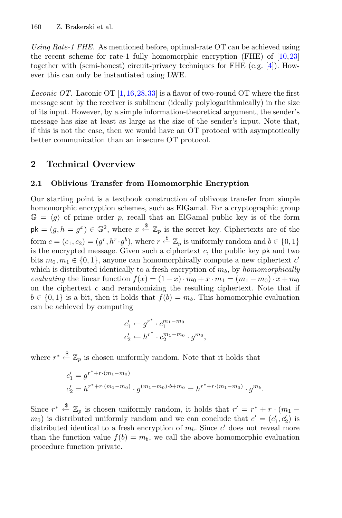*Using Rate-1 FHE.* As mentioned before, optimal-rate OT can be achieved using the recent scheme for rate-1 fully homomorphic encryption (FHE) of [\[10](#page-27-2)[,23](#page-28-2)] together with (semi-honest) circuit-privacy techniques for FHE (e.g. [\[4\]](#page-27-5)). However this can only be instantiated using LWE.

*Laconic OT.* Laconic OT  $[1,16,28,33]$  $[1,16,28,33]$  $[1,16,28,33]$  $[1,16,28,33]$  $[1,16,28,33]$  is a flavor of two-round OT where the first message sent by the receiver is sublinear (ideally polylogarithmically) in the size of its input. However, by a simple information-theoretical argument, the sender's message has size at least as large as the size of the sender's input. Note that, if this is not the case, then we would have an OT protocol with asymptotically better communication than an insecure OT protocol.

## <span id="page-3-0"></span>**2 Technical Overview**

### **2.1 Oblivious Transfer from Homomorphic Encryption**

Our starting point is a textbook construction of oblivous transfer from simple homomorphic encryption schemes, such as ElGamal. For a cryptographic group  $\mathbb{G} = \langle q \rangle$  of prime order p, recall that an ElGamal public key is of the form  $\n \mathsf{pk} = (g, h = g^x) \in \mathbb{G}^2$ , where  $x \stackrel{\$}{\leftarrow} \mathbb{Z}_p$  is the secret key. Ciphertexts are of the form  $c = (c_1, c_2) = (g^r, h^r \cdot g^b)$ , where  $r \stackrel{\$}{\leftarrow} \mathbb{Z}_p$  is uniformly random and  $b \in \{0, 1\}$ is the encrypted message. Given such a ciphertext  $c$ , the public key pk and two bits  $m_0, m_1 \in \{0, 1\}$ , anyone can homomorphically compute a new ciphertext  $c'$ which is distributed identically to a fresh encryption of  $m_b$ , by *homomorphically evaluating* the linear function  $f(x) = (1-x) \cdot m_0 + x \cdot m_1 = (m_1 - m_0) \cdot x + m_0$ on the ciphertext  $c$  and rerandomizing the resulting ciphertext. Note that if  $b \in \{0,1\}$  is a bit, then it holds that  $f(b) = m_b$ . This homomorphic evaluation can be achieved by computing

$$
c'_1 \leftarrow g^{r^*} \cdot c_1^{m_1 - m_0}
$$
  

$$
c'_2 \leftarrow h^{r^*} \cdot c_2^{m_1 - m_0} \cdot g^{m_0},
$$

where  $r^* \stackrel{\$}{\leftarrow} \mathbb{Z}_p$  is chosen uniformly random. Note that it holds that

$$
c'_1 = g^{r^* + r \cdot (m_1 - m_0)}
$$
  
\n
$$
c'_2 = h^{r^* + r \cdot (m_1 - m_0)} \cdot g^{(m_1 - m_0) \cdot b + m_0} = h^{r^* + r \cdot (m_1 - m_0)} \cdot g^{m_b}.
$$

Since  $r^* \stackrel{\$}{\leftarrow} \mathbb{Z}_p$  is chosen uniformly random, it holds that  $r' = r^* + r \cdot (m_1 (m_0)$  is distributed uniformly random and we can conclude that  $c' = (c'_1, c'_2)$  is distributed identical to a fresh encryption of  $m_b$ . Since c' does not reveal more than the function value  $f(b) = m_b$ , we call the above homomorphic evaluation procedure function private.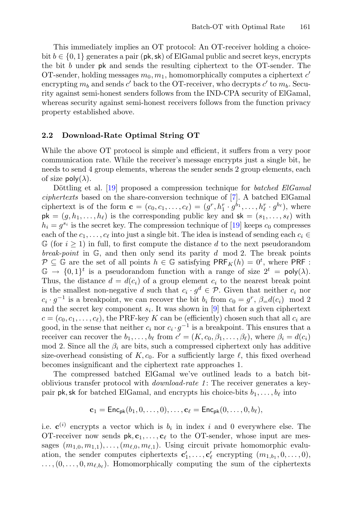This immediately implies an OT protocol: An OT-receiver holding a choicebit  $b \in \{0, 1\}$  generates a pair (pk, sk) of ElGamal public and secret keys, encrypts the bit b under pk and sends the resulting ciphertext to the OT-sender. The OT-sender, holding messages  $m_0, m_1$ , homomorphically computes a ciphertext  $c'$ encrypting  $m_b$  and sends c' back to the OT-receiver, who decrypts c' to  $m_b$ . Security against semi-honest senders follows from the IND-CPA security of ElGamal, whereas security against semi-honest receivers follows from the function privacy property established above.

#### **2.2 Download-Rate Optimal String OT**

While the above OT protocol is simple and efficient, it suffers from a very poor communication rate. While the receiver's message encrypts just a single bit, he needs to send 4 group elements, whereas the sender sends 2 group elements, each of size poly $(\lambda)$ .

Döttling et al. [\[19\]](#page-28-1) proposed a compression technique for *batched ElGamal ciphertexts* based on the share-conversion technique of [\[7](#page-27-7)]. A batched ElGamal ciphertext is of the form  $\mathbf{c} = (c_0, c_1, \dots, c_\ell) = (g^r, h_1^r \cdot g^{b_1}, \dots, h_\ell^r \cdot g^{b_\ell}),$  where  $\mathsf{pk} = (g, h_1, \ldots, h_\ell)$  is the corresponding public key and  $\mathsf{sk} = (s_1, \ldots, s_\ell)$  with  $h_i = g^{s_i}$  is the secret key. The compression technique of [\[19](#page-28-1)] keeps  $c_0$  compresses each of the  $c_1, \ldots, c_\ell$  into just a single bit. The idea is instead of sending each  $c_i \in \mathbb{C}$  $G$  (for  $i \geq 1$ ) in full, to first compute the distance d to the next pseudorandom *break-point* in  $\mathbb{G}$ , and then only send its parity d mod 2. The break points  $P \subseteq \mathbb{G}$  are the set of all points  $h \in \mathbb{G}$  satisfying  $\mathsf{PRF}_K(h) = 0^t$ , where  $\mathsf{PRF}$ :  $\mathbb{G} \to \{0,1\}^t$  is a pseudorandom function with a range of size  $2^t = \text{poly}(\lambda)$ . Thus, the distance  $d = d(c_i)$  of a group element  $c_i$  to the nearest break point is the smallest non-negative d such that  $c_i \cdot g^d \in \mathcal{P}$ . Given that neither  $c_i$  nor  $c_i \cdot g^{-1}$  is a breakpoint, we can recover the bit  $b_i$  from  $c_0 = g^r$ ,  $\beta = d(c_i) \mod 2$ and the secret key component  $s_i$ . It was shown in [\[9](#page-27-8)] that for a given ciphertext  $c = (c_0, c_1, \ldots, c_\ell)$ , the PRF-key K can be (efficiently) chosen such that all  $c_i$  are good, in the sense that neither  $c_i$  nor  $c_i \cdot g^{-1}$  is a breakpoint. This ensures that a receiver can recover the  $b_1, \ldots, b_\ell$  from  $c' = (K, c_0, \beta_1, \ldots, \beta_\ell)$ , where  $\beta_i = d(c_i)$ mod 2. Since all the  $\beta_i$  are bits, such a compressed ciphertext only has additive size-overhead consisting of  $K, c_0$ . For a sufficiently large  $\ell$ , this fixed overhead becomes insignificant and the ciphertext rate approaches 1.

The compressed batched ElGamal we've outlined leads to a batch bitoblivious transfer protocol with *download-rate 1* : The receiver generates a keypair  $pk, sk$  for batched ElGamal, and encrypts his choice-bits  $b_1, \ldots, b_\ell$  into

$$
\mathbf{c}_1 = \mathsf{Enc}_{\mathsf{pk}}(b_1, 0, \ldots, 0), \ldots, \mathbf{c}_{\ell} = \mathsf{Enc}_{\mathsf{pk}}(0, \ldots, 0, b_{\ell}),
$$

i.e.  $\mathbf{c}^{(i)}$  encrypts a vector which is  $b_i$  in index i and 0 everywhere else. The OT-receiver now sends  $pk$ ,  $c_1, \ldots, c_\ell$  to the OT-sender, whose input are messages  $(m_{1,0}, m_{1,1}), \ldots, (m_{\ell,0}, m_{\ell,1})$ . Using circuit private homomorphic evaluation, the sender computes ciphertexts  $\mathbf{c}'_1, \ldots, \mathbf{c}'_\ell$  encrypting  $(m_{1,b_1}, 0, \ldots, 0),$  $\ldots$ ,  $(0, \ldots, 0, m_{\ell, b_{\ell}})$ . Homomorphically computing the sum of the ciphertexts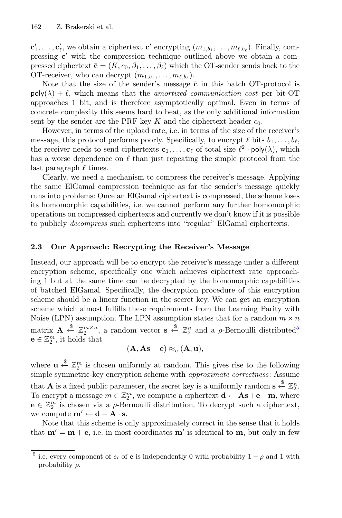$\mathbf{c}'_1,\ldots,\mathbf{c}'_\ell$ , we obtain a ciphertext  $\mathbf{c}'$  encrypting  $(m_{1,b_1},\ldots,m_{\ell,b_\ell})$ . Finally, compressing **c**' with the compression technique outlined above we obtain a compressed ciphertext  $\bar{\mathbf{c}} = (K, c_0, \beta_1, \dots, \beta_\ell)$  which the OT-sender sends back to the OT-receiver, who can decrypt  $(m_{1,b_1},...,m_{\ell,b_\ell}).$ 

Note that the size of the sender's message  $\bar{c}$  in this batch OT-protocol is  $poly(\lambda) + \ell$ , which means that the *amortized communication cost* per bit-OT approaches 1 bit, and is therefore asymptotically optimal. Even in terms of concrete complexity this seems hard to beat, as the only additional information sent by the sender are the PRF key K and the ciphertext header  $c_0$ .

However, in terms of the upload rate, i.e. in terms of the size of the receiver's message, this protocol performs poorly. Specifically, to encrypt  $\ell$  bits  $b_1, \ldots, b_\ell$ , the receiver needs to send ciphertexts  $\mathbf{c}_1, \ldots, \mathbf{c}_{\ell}$  of total size  $\ell^2 \cdot \text{poly}(\lambda)$ , which has a worse dependence on  $\ell$  than just repeating the simple protocol from the last paragraph  $\ell$  times.

Clearly, we need a mechanism to compress the receiver's message. Applying the same ElGamal compression technique as for the sender's message quickly runs into problems: Once an ElGamal ciphertext is compressed, the scheme loses its homomorphic capabilities, i.e. we cannot perform any further homomorphic operations on compressed ciphertexts and currently we don't know if it is possible to publicly *decompress* such ciphertexts into "regular" ElGamal ciphertexts.

#### **2.3 Our Approach: Recrypting the Receiver's Message**

Instead, our approach will be to encrypt the receiver's message under a different encryption scheme, specifically one which achieves ciphertext rate approaching 1 but at the same time can be decrypted by the homomorphic capabilities of batched ElGamal. Specifically, the decryption procedure of this encryption scheme should be a linear function in the secret key. We can get an encryption scheme which almost fulfills these requirements from the Learning Parity with Noise (LPN) assumption. The LPN assumption states that for a random  $m \times n$ matrix  $\mathbf{A} \xrightarrow{\$} \mathbb{Z}_2^m \times n$ , a random vector  $\mathbf{s} \xleftarrow{\$} \mathbb{Z}_2^n$  and a  $\rho$ -Bernoulli distributed<sup>[5](#page-5-0)</sup>  $\mathbf{e} \in \mathbb{Z}_2^m$ , it holds that

$$
(\mathbf{A}, \mathbf{As} + \mathbf{e}) \approx_c (\mathbf{A}, \mathbf{u}),
$$

where  $\mathbf{u} \leftarrow \mathbb{Z}_2^m$  is chosen uniformly at random. This gives rise to the following simple symmetric-key encryption scheme with *approximate correctness*: Assume that **A** is a fixed public parameter, the secret key is a uniformly random  $\mathbf{s} \leftarrow \mathbb{Z}_2^n$ . To encrypt a message  $m \in \mathbb{Z}_2^m$ , we compute a ciphertext  $\mathbf{d} \leftarrow \mathbf{As} + \mathbf{e} + \mathbf{m}$ , where  $\mathbf{e} \in \mathbb{Z}_2^m$  is chosen via a  $\rho$ -Bernoulli distribution. To decrypt such a ciphertext, we compute  $\mathbf{m}' \leftarrow \mathbf{d} - \mathbf{A} \cdot \mathbf{s}$ .

Note that this scheme is only approximately correct in the sense that it holds that  $\mathbf{m}' = \mathbf{m} + \mathbf{e}$ , i.e. in most coordinates  $\mathbf{m}'$  is identical to  $\mathbf{m}$ , but only in few

<span id="page-5-0"></span><sup>&</sup>lt;sup>5</sup> i.e. every component of  $e_i$  of **e** is independently 0 with probability  $1 - \rho$  and 1 with probability  $\rho$ .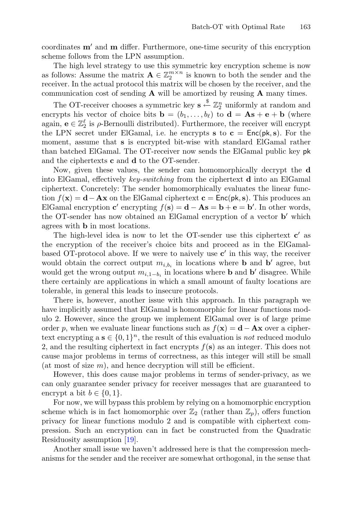coordinates  $\mathbf{m}'$  and  $\mathbf{m}$  differ. Furthermore, one-time security of this encryption scheme follows from the LPN assumption.

The high level strategy to use this symmetric key encryption scheme is now as follows: Assume the matrix  $\mathbf{A} \in \mathbb{Z}_2^{m \times n}$  is known to both the sender and the receiver. In the actual protocol this matrix will be chosen by the receiver, and the communication cost of sending **A** will be amortized by reusing **A** many times.

The OT-receiver chooses a symmetric key  $s \stackrel{\$}{\leftarrow} \mathbb{Z}_2^n$  uniformly at random and encrypts his vector of choice bits  $\mathbf{b} = (b_1, \ldots, b_\ell)$  to  $\mathbf{d} = \mathbf{As} + \mathbf{e} + \mathbf{b}$  (where again,  $\mathbf{e} \in \mathbb{Z}_2^{\ell}$  is  $\rho$ -Bernoulli distributed). Furthermore, the receiver will encrypt the LPN secret under ElGamal, i.e. he encrypts **s** to  $c = \text{Enc}(pk, s)$ . For the moment, assume that **s** is encrypted bit-wise with standard ElGamal rather than batched ElGamal. The OT-receiver now sends the ElGamal public key pk and the ciphertexts **c** and **d** to the OT-sender.

Now, given these values, the sender can homomorphically decrypt the **d** into ElGamal, effectively *key-switching* from the ciphertext **d** into an ElGamal ciphertext. Concretely: The sender homomorphically evaluates the linear function  $f(x) = d - Ax$  on the ElGamal ciphertext **c** = Enc(pk, s). This produces an ElGamal encryption **c**' encrypting  $f(s) = \mathbf{d} - \mathbf{A}\mathbf{s} = \mathbf{b} + \mathbf{e} = \mathbf{b}'$ . In other words, the OT-sender has now obtained an ElGamal encryption of a vector **b** which agrees with **b** in most locations.

The high-level idea is now to let the OT-sender use this ciphertext **c** as the encryption of the receiver's choice bits and proceed as in the ElGamalbased OT-protocol above. If we were to naively use  $c'$  in this way, the receiver would obtain the correct output  $m_{i,b_i}$  in locations where **b** and **b**' agree, but would get the wrong output  $m_{i,1-b_i}$  in locations where **b** and **b**' disagree. While there certainly are applications in which a small amount of faulty locations are tolerable, in general this leads to insecure protocols.

There is, however, another issue with this approach. In this paragraph we have implicitly assumed that ElGamal is homomorphic for linear functions modulo 2. However, since the group we implement ElGamal over is of large prime order p, when we evaluate linear functions such as  $f(\mathbf{x}) = \mathbf{d} - \mathbf{A}\mathbf{x}$  over a ciphertext encrypting a  $\mathbf{s} \in \{0,1\}^n$ , the result of this evaluation is *not* reduced modulo 2, and the resulting ciphertext in fact encrypts  $f(\mathbf{s})$  as an integer. This does not cause major problems in terms of correctness, as this integer will still be small (at most of size  $m$ ), and hence decryption will still be efficient.

However, this does cause major problems in terms of sender-privacy, as we can only guarantee sender privacy for receiver messages that are guaranteed to encrypt a bit  $b \in \{0, 1\}.$ 

For now, we will bypass this problem by relying on a homomorphic encryption scheme which is in fact homomorphic over  $\mathbb{Z}_2$  (rather than  $\mathbb{Z}_p$ ), offers function privacy for linear functions modulo 2 and is compatible with ciphertext compression. Such an encryption can in fact be constructed from the Quadratic Residuosity assumption [\[19](#page-28-1)].

Another small issue we haven't addressed here is that the compression mechanisms for the sender and the receiver are somewhat orthogonal, in the sense that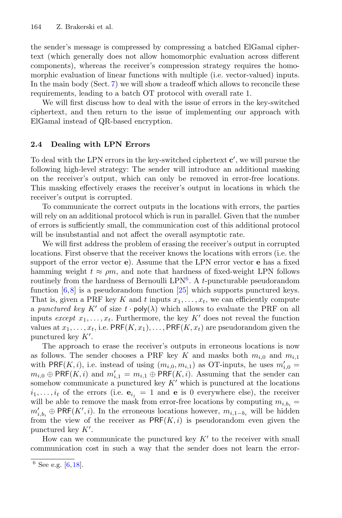the sender's message is compressed by compressing a batched ElGamal ciphertext (which generally does not allow homomorphic evaluation across different components), whereas the receiver's compression strategy requires the homomorphic evaluation of linear functions with multiple (i.e. vector-valued) inputs. In the main body (Sect. [7\)](#page-19-0) we will show a tradeoff which allows to reconcile these requirements, leading to a batch OT protocol with overall rate 1.

We will first discuss how to deal with the issue of errors in the key-switched ciphertext, and then return to the issue of implementing our approach with ElGamal instead of QR-based encryption.

#### **2.4 Dealing with LPN Errors**

To deal with the LPN errors in the key-switched ciphertext **c** , we will pursue the following high-level strategy: The sender will introduce an additional masking on the receiver's output, which can only be removed in error-free locations. This masking effectively erases the receiver's output in locations in which the receiver's output is corrupted.

To communicate the correct outputs in the locations with errors, the parties will rely on an additional protocol which is run in parallel. Given that the number of errors is sufficiently small, the communication cost of this additional protocol will be insubstantial and not affect the overall asymptotic rate.

We will first address the problem of erasing the receiver's output in corrupted locations. First observe that the receiver knows the locations with errors (i.e. the support of the error vector **e**). Assume that the LPN error vector **e** has a fixed hamming weight  $t \approx \rho m$ , and note that hardness of fixed-weight LPN follows routinely from the hardness of Bernoulli  $LPN<sup>6</sup>$  $LPN<sup>6</sup>$  $LPN<sup>6</sup>$ . A t-puncturable pseudorandom function  $[6,8]$  $[6,8]$  $[6,8]$  is a pseudorandom function  $[25]$  which supports punctured keys. That is, given a PRF key K and t inputs  $x_1, \ldots, x_t$ , we can efficiently compute a *punctured key* K' of size  $t \cdot \text{poly}(\lambda)$  which allows to evaluate the PRF on all inputs *except*  $x_1, \ldots, x_t$ . Furthermore, the key K' does not reveal the function values at  $x_1,\ldots,x_t$ , i.e. PRF $(K, x_1),\ldots$ , PRF $(K, x_t)$  are pseudorandom given the punctured key  $K'$ .

The approach to erase the receiver's outputs in erroneous locations is now as follows. The sender chooses a PRF key K and masks both  $m_{i,0}$  and  $m_{i,1}$ with PRF(K, i), i.e. instead of using  $(m_{i,0}, m_{i,1})$  as OT-inputs, he uses  $m'_{i,0} =$  $m_{i,0} \oplus \textsf{PRF}(K,i)$  and  $m'_{i,1} = m_{i,1} \oplus \textsf{PRF}(K,i)$ . Assuming that the sender can somehow communicate a punctured key  $K'$  which is punctured at the locations  $i_1,\ldots,i_t$  of the errors (i.e.  $\mathbf{e}_{i_j} = 1$  and **e** is 0 everywhere else), the receiver will be able to remove the mask from error-free locations by computing  $m_{i,b_i} =$  $m'_{i,b_i} \oplus \textsf{PRF}(K',i)$ . In the erroneous locations however,  $m_{i,1-b_i}$  will be hidden from the view of the receiver as  $\mathsf{PRF}(K, i)$  is pseudorandom even given the punctured key  $K'$ .

How can we communicate the punctured key  $K'$  to the receiver with small communication cost in such a way that the sender does not learn the error-

<span id="page-7-0"></span> $6$  See e.g. [\[6](#page-27-1)[,18\]](#page-28-10).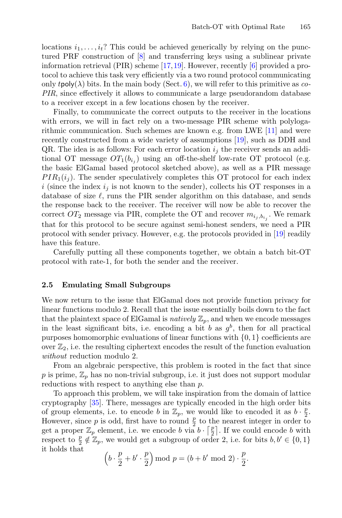locations  $i_1, \ldots, i_t$ ? This could be achieved generically by relying on the punctured PRF construction of [\[8](#page-27-9)] and transferring keys using a sublinear private information retrieval (PIR) scheme [\[17](#page-28-11)[,19](#page-28-1)]. However, recently [\[6](#page-27-1)] provided a protocol to achieve this task very efficiently via a two round protocol communicating only tpoly( $\lambda$ ) bits. In the main body (Sect. [6\)](#page-17-0), we will refer to this primitive as *co*-*PIR*, since effectively it allows to communicate a large pseudorandom database to a receiver except in a few locations chosen by the receiver.

Finally, to communicate the correct outputs to the receiver in the locations with errors, we will in fact rely on a two-message PIR scheme with polylogarithmic communication. Such schemes are known e.g. from LWE [\[11\]](#page-27-10) and were recently constructed from a wide variety of assumptions [\[19\]](#page-28-1), such as DDH and QR. The idea is as follows: For each error location  $i_j$  the receiver sends an additional OT message  $OT_1(b_{i_j})$  using an off-the-shelf low-rate OT protocol (e.g. the basic ElGamal based protocol sketched above), as well as a PIR message  $PIR_1(i_i)$ . The sender speculatively completes this OT protocol for each index i (since the index  $i_j$  is not known to the sender), collects his OT responses in a database of size  $\ell$ , runs the PIR sender algorithm on this database, and sends the response back to the receiver. The receiver will now be able to recover the correct  $OT_2$  message via PIR, complete the OT and recover  $m_{i_j, b_{i_j}}$ . We remark that for this protocol to be secure against semi-honest senders, we need a PIR protocol with sender privacy. However, e.g. the protocols provided in [\[19](#page-28-1)] readily have this feature.

Carefully putting all these components together, we obtain a batch bit-OT protocol with rate-1, for both the sender and the receiver.

#### **2.5 Emulating Small Subgroups**

We now return to the issue that ElGamal does not provide function privacy for linear functions modulo 2. Recall that the issue essentially boils down to the fact that the plaintext space of ElGamal is *natively*  $\mathbb{Z}_p$ , and when we encode messages in the least significant bits, i.e. encoding a bit b as  $g^b$ , then for all practical purposes homomorphic evaluations of linear functions with  $\{0, 1\}$  coefficients are over  $\mathbb{Z}_2$ , i.e. the resulting ciphertext encodes the result of the function evaluation *without* reduction modulo 2.

From an algebraic perspective, this problem is rooted in the fact that since p is prime,  $\mathbb{Z}_p$  has no non-trivial subgroup, i.e. it just does not support modular reductions with respect to anything else than p.

To approach this problem, we will take inspiration from the domain of lattice cryptography [\[35\]](#page-29-5). There, messages are typically encoded in the high order bits of group elements, i.e. to encode b in  $\mathbb{Z}_p$ , we would like to encoded it as  $b \cdot \frac{p}{2}$ . However, since p is odd, first have to round  $\frac{p}{2}$  to the nearest integer in order to get a proper  $\mathbb{Z}_p$  element, i.e. we encode b via  $b \cdot \lceil \frac{p}{2} \rceil$  $\frac{p}{2}$ . If we could encode b with respect to  $\frac{p}{2} \notin \mathbb{Z}_p$ , we would get a subgroup of order 2, i.e. for bits  $b, b' \in \{0, 1\}$ it holds that

$$
\left(b \cdot \frac{p}{2} + b' \cdot \frac{p}{2}\right) \mod p = (b + b' \mod 2) \cdot \frac{p}{2}.
$$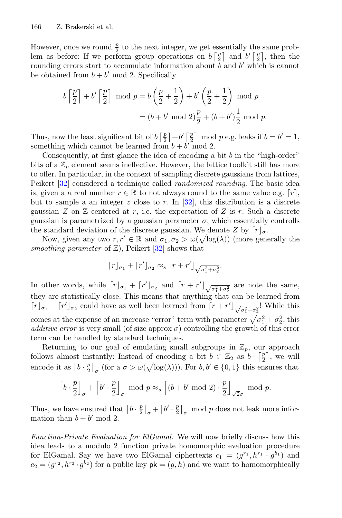However, once we round  $\frac{p}{2}$  to the next integer, we get essentially the same problem as before: If we perform group operations on  $b\left[\frac{p}{2}\right]$  $\frac{p}{2}$  and  $b'$   $\left[\frac{p}{2}\right]$  $\frac{p}{2}$ , then the rounding errors start to accumulate information about b and  $b'$  which is cannot be obtained from  $b + b' \mod 2$ . Specifically

$$
b\left\lceil \frac{p}{2} \right\rceil + b'\left\lceil \frac{p}{2} \right\rceil \mod p = b\left(\frac{p}{2} + \frac{1}{2}\right) + b'\left(\frac{p}{2} + \frac{1}{2}\right) \mod p
$$

$$
= (b + b' \mod 2)\frac{p}{2} + (b + b')\frac{1}{2} \mod p.
$$

Thus, now the least significant bit of  $b\left[\frac{p}{2}\right]$  $\frac{p}{2}$  + b'  $\left[\frac{p}{2}\right]$  $\lfloor \frac{p}{2} \rfloor \mod p$  e.g. leaks if  $b = b' = 1$ , something which cannot be learned from  $b + b' \mod 2$ .

Consequently, at first glance the idea of encoding a bit  $b$  in the "high-order" bits of a  $\mathbb{Z}_p$  element seems ineffective. However, the lattice toolkit still has more to offer. In particular, in the context of sampling discrete gaussians from lattices, Peikert [\[32\]](#page-29-6) considered a technique called *randomized rounding*. The basic idea is, given a a real number  $r \in \mathbb{R}$  to not always round to the same value e.g.  $[r]$ , but to sample a an integer z close to r. In  $[32]$  $[32]$ , this distribution is a discrete gaussian Z on  $\mathbb Z$  centered at r, i.e. the expectation of Z is r. Such a discrete gaussian is parametrized by a gaussian parameter  $\sigma$ , which essentially controlls the standard deviation of the discrete gaussian. We denote Z by  $[r]_{\sigma}$ .

Now, given any two  $r, r' \in \mathbb{R}$  and  $\sigma_1, \sigma_2 > \omega(\sqrt{\log(\lambda)})$  (more generally the *smoothing parameter* of  $\mathbb{Z}$ ), Peikert [\[32](#page-29-6)] shows that

$$
\lceil r \rfloor_{\sigma_1} + \lceil r' \rfloor_{\sigma_2} \approx_s \lceil r + r' \rfloor \sqrt{\sigma_1^2 + \sigma_2^2}.
$$

In other words, while  $\lceil r \rfloor_{\sigma_1} + \lceil r' \rfloor_{\sigma_2}$  and  $\lceil r + r' \rfloor_{\sqrt{\sigma_1^2 + \sigma_2^2}}$  are note the same, they are statistically close. This means that anything that can be learned from  $\lceil r \rfloor_{\sigma_1} + \lceil r' \rfloor_{\sigma_2}$  could have as well been learned from  $\lceil r + r' \rfloor_{\sqrt{\sigma_1^2 + \sigma_2^2}}$ ! While this comes at the expense of an increase "error" term with parameter  $\sqrt{\sigma_1^2 + \sigma_2^2}$ , this *additive error* is very small (of size approx  $\sigma$ ) controlling the growth of this error term can be handled by standard techniques.

Returning to our goal of emulating small subgroups in  $\mathbb{Z}_p$ , our approach follows almost instantly: Instead of encoding a bit  $b \in \mathbb{Z}_2$  as  $b \cdot \lceil \frac{p}{2} \rceil$  $\frac{p}{2}$ , we will encode it as  $\left[b \cdot \frac{p}{2}\right]_{\sigma}$  (for a  $\sigma > \omega(\sqrt{\log(\lambda)}))$ ). For  $b, b' \in \{0, 1\}$  this ensures that

$$
\left[b \cdot \frac{p}{2}\right]_{\sigma} + \left[b' \cdot \frac{p}{2}\right]_{\sigma} \mod p \approx_s \left\lceil (b+b' \mod 2) \cdot \frac{p}{2} \right\rceil_{\sqrt{2}\sigma} \mod p.
$$

Thus, we have ensured that  $\left[b \cdot \frac{p}{2}\right]_{\sigma} + \left[b' \cdot \frac{p}{2}\right]_{\sigma}$  mod p does not leak more information than  $b + b' \mod 2$ .

*Function-Private Evaluation for ElGamal.* We will now briefly discuss how this idea leads to a modulo 2 function private homomorphic evaluation procedure for ElGamal. Say we have two ElGamal ciphertexts  $c_1 = (g^{r_1}, h^{r_1} \cdot g^{b_1})$  and  $c_2 = (g^{r_2}, h^{r_2} \cdot g^{b_2})$  for a public key  $\mathsf{pk} = (g, h)$  and we want to homomorphically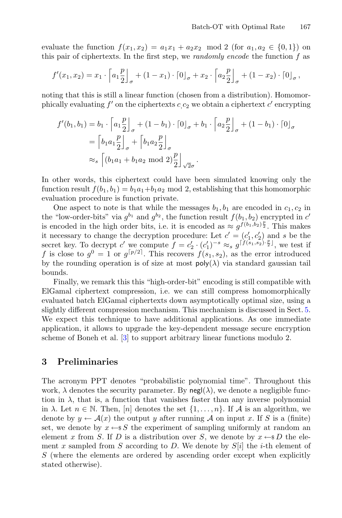evaluate the function  $f(x_1, x_2) = a_1x_1 + a_2x_2 \mod 2$  (for  $a_1, a_2 \in \{0, 1\}$ ) on this pair of ciphertexts. In the first step, we *randomly encode* the function f as

$$
f'(x_1, x_2) = x_1 \cdot \left[ a_1 \frac{p}{2} \right]_{\sigma} + (1 - x_1) \cdot \left[ 0 \right]_{\sigma} + x_2 \cdot \left[ a_2 \frac{p}{2} \right]_{\sigma} + (1 - x_2) \cdot \left[ 0 \right]_{\sigma},
$$

noting that this is still a linear function (chosen from a distribution). Homomorphically evaluating  $f'$  on the ciphertexts c  $c_2$  we obtain a ciphertext c' encrypting

$$
f'(b_1, b_1) = b_1 \cdot \left[a_1 \frac{p}{2}\right]_\sigma + (1 - b_1) \cdot \left[0\right]_\sigma + b_1 \cdot \left[a_2 \frac{p}{2}\right]_\sigma + (1 - b_1) \cdot \left[0\right]_\sigma
$$
  
=  $\left[b_1 a_1 \frac{p}{2}\right]_\sigma + \left[b_1 a_2 \frac{p}{2}\right]_\sigma$   
 $\approx_s \left[\left(b_1 a_1 + b_1 a_2 \mod 2\right) \frac{p}{2}\right]_{\sqrt{2}\sigma}.$ 

In other words, this ciphertext could have been simulated knowing only the function result  $f(b_1, b_1) = b_1 a_1 + b_1 a_2$  mod 2, establishing that this homomorphic evaluation procedure is function private.

One aspect to note is that while the messages  $b_1, b_1$  are encoded in  $c_1, c_2$  in the "low-order-bits" via  $g^{b_1}$  and  $g^{b_2}$ , the function result  $f(b_1, b_2)$  encrypted in c' is encoded in the high order bits, i.e. it is encoded as  $\approx g^{f(b_1, b_2)\frac{p}{2}}$ . This makes it necessary to change the decryption procedure: Let  $c' = (c'_1, c'_2)$  and s be the secret key. To decrypt c' we compute  $f = c'_2 \cdot (c'_1)^{-s} \approx_s g^{[f(s_1,s_2)]} \frac{p}{2}$ , we test if f is close to  $g^0 = 1$  or  $g^{[p/2]}$ . This recovers  $f(s_1, s_2)$ , as the error introduced by the rounding operation is of size at most  $\text{poly}(\lambda)$  via standard gaussian tail bounds.

Finally, we remark this this "high-order-bit" encoding is still compatible with ElGamal ciphertext compression, i.e. we can still compress homomorphically evaluated batch ElGamal ciphertexts down asymptotically optimal size, using a slightly different compression mechanism. This mechanism is discussed in Sect. [5.](#page-13-0) We expect this technique to have additional applications. As one immediate application, it allows to upgrade the key-dependent message secure encryption scheme of Boneh et al. [\[3](#page-27-4)] to support arbitrary linear functions modulo 2.

### **3 Preliminaries**

The acronym PPT denotes "probabilistic polynomial time". Throughout this work,  $\lambda$  denotes the security parameter. By negl( $\lambda$ ), we denote a negligible function in  $\lambda$ , that is, a function that vanishes faster than any inverse polynomial in  $\lambda$ . Let  $n \in \mathbb{N}$ . Then,  $[n]$  denotes the set  $\{1, \ldots, n\}$ . If A is an algorithm, we denote by  $y \leftarrow \mathcal{A}(x)$  the output y after running A on input x. If S is a (finite) set, we denote by  $x \leftarrow s S$  the experiment of sampling uniformly at random an element x from S. If D is a distribution over S, we denote by  $x \leftarrow SD$  the element x sampled from S according to D. We denote by  $S[i]$  the *i*-th element of S (where the elements are ordered by ascending order except when explicitly stated otherwise).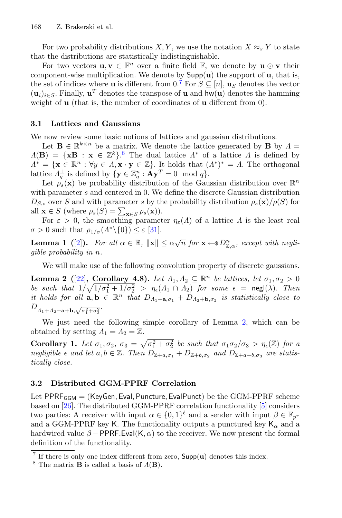For two probability distributions X, Y, we use the notation  $X \approx_{s} Y$  to state that the distributions are statistically indistinguishable.

For two vectors  $\mathbf{u}, \mathbf{v} \in \mathbb{F}^n$  over a finite field  $\mathbb{F}$ , we denote by  $\mathbf{u} \odot \mathbf{v}$  their component-wise multiplication. We denote by Supp(**u**) the support of **u**, that is, the set of indices where **u** is different from  $0$ .<sup>[7](#page-11-0)</sup> For  $S \subseteq [n]$ , **u**<sub>S</sub> denotes the vector  $(\mathbf{u}_i)_{i \in S}$ . Finally,  $\mathbf{u}^T$  denotes the transpose of **u** and  $h\mathbf{w}(\mathbf{u})$  denotes the hamming weight of **u** (that is, the number of coordinates of **u** different from 0).

#### **3.1 Lattices and Gaussians**

We now review some basic notions of lattices and gaussian distributions.

Let **B**  $\in \mathbb{R}^{k \times n}$  be a matrix. We denote the lattice generated by **B** by  $\Lambda$  =  $\Lambda(\mathbf{B}) = {\mathbf{x} \mathbf{B} : \mathbf{x} \in \mathbb{Z}^k}$ .<sup>[8](#page-11-1)</sup> The dual lattice  $\Lambda^*$  of a lattice  $\Lambda$  is defined by  $\Lambda^* = {\mathbf{x} \in \mathbb{R}^n : \forall y \in \Lambda, \mathbf{x} \cdot \mathbf{y} \in \mathbb{Z}}.$  It holds that  $(\Lambda^*)^* = \Lambda.$  The orthogonal lattice  $\Lambda_q^{\perp}$  is defined by  $\{ \mathbf{y} \in \mathbb{Z}_q^n : \mathbf{A}\mathbf{y}^T = 0 \mod q \}.$ 

Let  $\rho_s(\mathbf{x})$  be probability distribution of the Gaussian distribution over  $\mathbb{R}^n$ with parameter s and centered in 0. We define the discrete Gaussian distribution  $D_{S,s}$  over S and with parameter s by the probability distribution  $\rho_s(\mathbf{x})/\rho(S)$  for all  $\mathbf{x} \in S$  (where  $\rho_s(S) = \sum_{\mathbf{x} \in S} \rho_s(\mathbf{x})$ ).

For  $\varepsilon > 0$ , the smoothing parameter  $\eta_{\varepsilon}(\Lambda)$  of a lattice  $\Lambda$  is the least real  $\sigma > 0$  such that  $\rho_{1/\sigma}(\Lambda^* \setminus \{0\}) \leq \varepsilon$  [\[31\]](#page-29-7).

**Lemma 1** ([\[2\]](#page-27-11)). For all  $\alpha \in \mathbb{R}$ ,  $\|\mathbf{x}\| \leq \alpha \sqrt{n}$  for  $\mathbf{x} \leftarrow s D_{\mathbb{Z}, \alpha}^n$ , except with negli*gible probability in* n*.*

We will make use of the following convolution property of discrete gaussians.

<span id="page-11-2"></span>**Lemma 2** ([\[22\]](#page-28-12), Corollary 4.8). Let  $\Lambda_1, \Lambda_2 \subseteq \mathbb{R}^n$  be lattices, let  $\sigma_1, \sigma_2 > 0$ be such that  $1/\sqrt{1/\sigma_1^2 + 1/\sigma_2^2} > \eta_\epsilon(A_1 \cap A_2)$  for some  $\epsilon = \text{negl}(\lambda)$ *. Then it holds for all*  $\mathbf{a}, \mathbf{b} \in \mathbb{R}^n$  *that*  $D_{\Lambda_1 + \mathbf{a}, \sigma_1} + D_{\Lambda_2 + \mathbf{b}, \sigma_2}$  *is statistically close to*  $D_{\Lambda_1+\Lambda_2+\mathbf{a}+\mathbf{b},\sqrt{\sigma_1^2+\sigma_2^2}}.$ 

We just need the following simple corollary of Lemma [2,](#page-11-2) which can be obtained by setting  $\Lambda_1 = \Lambda_2 = \mathbb{Z}$ .

**Corollary 1.** Let  $\sigma_1, \sigma_2, \sigma_3 = \sqrt{\sigma_1^2 + \sigma_2^2}$  be such that  $\sigma_1 \sigma_2 / \sigma_3 > \eta_{\epsilon}(\mathbb{Z})$  for a *negligible*  $\epsilon$  and let  $a, b \in \mathbb{Z}$ . Then  $D_{\mathbb{Z}+a,\sigma_1} + D_{\mathbb{Z}+b,\sigma_2}$  and  $D_{\mathbb{Z}+a+b,\sigma_3}$  are statis*tically close.*

### **3.2 Distributed GGM-PPRF Correlation**

Let  $\text{PPRF}_{\text{GGM}} = (\text{KeyGen}, \text{Eval}, \text{Puncture}, \text{EvalPunct})$  be the GGM-PPRF scheme based on [\[26\]](#page-28-13). The distributed GGM-PPRF correlation functionality [\[5\]](#page-27-0) considers two parties: A receiver with input  $\alpha \in \{0,1\}^{\ell}$  and a sender with input  $\beta \in \mathbb{F}_{p^r}$ and a GGM-PPRF key K. The functionality outputs a punctured key  $K_{\alpha}$  and a hardwired value  $\beta$  – PPRF. Eval(K,  $\alpha$ ) to the receiver. We now present the formal definition of the functionality.

<span id="page-11-0"></span><sup>7</sup> If there is only one index different from zero, Supp(**u**) denotes this index.

<span id="page-11-1"></span><sup>&</sup>lt;sup>8</sup> The matrix **B** is called a basis of  $\Lambda$ (**B**).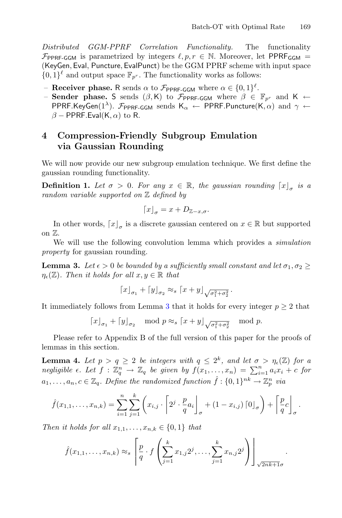*Distributed GGM-PPRF Correlation Functionality.* The functionality  $\mathcal{F}_{\text{PPRF-GGM}}$  is parametrized by integers  $\ell, p, r \in \mathbb{N}$ . Moreover, let PPRF<sub>GGM</sub> = (KeyGen, Eval, Puncture, EvalPunct) be the GGM PPRF scheme with input space  $\{0,1\}^{\ell}$  and output space  $\mathbb{F}_{p^r}$ . The functionality works as follows:

- **Receiver phase.** R sends  $\alpha$  to  $\mathcal{F}_{PPRF-GGM}$  where  $\alpha \in \{0,1\}^{\ell}$ .<br>  $\alpha = \text{Sender phase}$  S sends  $(\beta, K)$  to  $\mathcal{F}_{PPTF-GGM}$  where  $\beta \in \mathcal{F}_{PP}$
- **Sender phase.** S sends  $(\beta, K)$  to  $\mathcal{F}_{PPRF-GGM}$  where  $\beta \in \mathbb{F}_{p^r}$  and  $K \leftarrow$ PPRF.KeyGen(1<sup> $\lambda$ </sup>).  $\mathcal{F}_{PPRF-GGM}$  sends K<sub> $\alpha$ </sub>  $\leftarrow$  PPRF.Puncture(K,  $\alpha$ ) and  $\gamma \leftarrow$  $\beta$  – PPRF.Eval(K,  $\alpha$ ) to R.

## <span id="page-12-1"></span>**4 Compression-Friendly Subgroup Emulation via Gaussian Rounding**

We will now provide our new subgroup emulation technique. We first define the gaussian rounding functionality.

**Definition 1.** Let  $\sigma > 0$ . For any  $x \in \mathbb{R}$ , the gaussian rounding  $\lceil x \rceil_{\sigma}$  is a *random variable supported on* Z *defined by*

$$
\lceil x \rfloor_{\sigma} = x + D_{\mathbb{Z}-x,\sigma}.
$$

In other words,  $[x]_{\sigma}$  is a discrete gaussian centered on  $x \in \mathbb{R}$  but supported on Z.

<span id="page-12-0"></span>We will use the following convolution lemma which provides a *simulation property* for gaussian rounding.

**Lemma 3.** Let  $\epsilon > 0$  be bounded by a sufficiently small constant and let  $\sigma_1, \sigma_2 \geq$  $\eta_{\epsilon}(\mathbb{Z})$ *. Then it holds for all*  $x, y \in \mathbb{R}$  *that* 

$$
\lceil x \rfloor_{\sigma_1} + \lceil y \rfloor_{\sigma_2} \approx_s \lceil x + y \rfloor \sqrt{\sigma_1^2 + \sigma_2^2} \, .
$$

It immediately follows from Lemma [3](#page-12-0) that it holds for every integer  $p \geq 2$  that

$$
\lceil x \rfloor_{\sigma_1} + \lceil y \rfloor_{\sigma_2} \mod p \approx_s \lceil x + y \rfloor_{\sqrt{\sigma_1^2 + \sigma_2^2}} \mod p.
$$

<span id="page-12-2"></span>Please refer to Appendix B of the full version of this paper for the proofs of lemmas in this section.

**Lemma 4.** Let  $p > q \geq 2$  be integers with  $q \leq 2^k$ , and let  $\sigma > \eta_{\epsilon}(\mathbb{Z})$  for a *negligible*  $\epsilon$ *. Let*  $f : \mathbb{Z}_q^n \to \mathbb{Z}_q$  *be given by*  $f(x_1, \ldots, x_n) = \sum_{i=1}^n a_i x_i + c$  for  $a_1, \ldots, a_n, c \in \mathbb{Z}_q$ . Define the randomized function  $\hat{f}: \{0,1\}^{nk} \to \mathbb{Z}_p^n$  via

$$
\hat{f}(x_{1,1},\ldots,x_{n,k}) = \sum_{i=1}^n \sum_{j=1}^k \left( x_{i,j} \cdot \left[ 2^j \cdot \frac{p}{q} a_i \right]_\sigma + (1 - x_{i,j}) \left[ 0 \right]_\sigma \right) + \left[ \frac{p}{q} c \right]_\sigma.
$$

*Then it holds for all*  $x_{1,1}, \ldots, x_{n,k} \in \{0,1\}$  *that* 

$$
\hat{f}(x_{1,1},\ldots,x_{n,k}) \approx_s \left[\frac{p}{q} \cdot f\left(\sum_{j=1}^k x_{1,j} 2^j,\ldots,\sum_{j=1}^k x_{n,j} 2^j\right)\right]_{\sqrt{2nk+1}\sigma}.
$$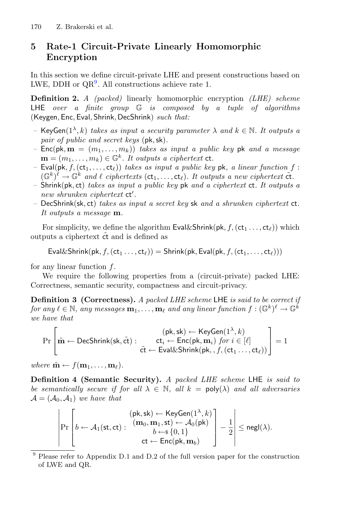# <span id="page-13-0"></span>**5 Rate-1 Circuit-Private Linearly Homomorphic Encryption**

In this section we define circuit-private LHE and present constructions based on LWE, DDH or  $QR<sup>9</sup>$  $QR<sup>9</sup>$  $QR<sup>9</sup>$ . All constructions achieve rate 1.

**Definition 2.** *A (packed)* linearly homomorphic encryption *(LHE) scheme* LHE *over a finite group* G *is composed by a tuple of algorithms* (Keygen, Enc, Eval, Shrink, DecShrink) *such that:*

- *–* KeyGen( $1^{\lambda}$ , k) *takes as input a security parameter*  $\lambda$  *and*  $k \in \mathbb{N}$ *. It outputs a pair of public and secret keys* (pk,sk)*.*
- *–* Enc(pk,  $\mathbf{m} = (m_1, \ldots, m_k)$ ) *takes as input a public key* pk *and a message*  $\mathbf{m} = (m_1, \ldots, m_k) \in \mathbb{G}^k$ . It outputs a ciphertext **ct**.
- *–* Eval(pk,  $f$ , (ct<sub>1</sub>, ..., ct<sub>l</sub>)) *takes as input a public key* pk, a linear function f:  $(\mathbb{G}^k)^{\ell} \to \mathbb{G}^k$  and  $\ell$  ciphertexts  $(\mathsf{ct}_1, \ldots, \mathsf{ct}_{\ell})$ . It outputs a new ciphertext  $\tilde{\mathsf{ct}}$ .
- *–* Shrink(pk, ct) *takes as input a public key* pk *and a ciphertext* ct*. It outputs a new shrunken ciphertext* ct *.*
- *–* DecShrink(sk, ct) *takes as input a secret key* sk *and a shrunken ciphertext* ct*. It outputs a message* **m***.*

For simplicity, we define the algorithm  $\mathsf{Eval}\&\mathsf{Shrink}(\mathsf{pk}, f,(\mathsf{ct}_1 \dots, \mathsf{ct}_\ell))$  which outputs a ciphertext  $\tilde{c}t$  and is defined as

 $\mathsf{Eval}\&\mathsf{Shrink}(\mathsf{pk},f,(\mathsf{ct}_1\dots,\mathsf{ct}_\ell)) = \mathsf{Shrink}(\mathsf{pk},\mathsf{Eval}(\mathsf{pk},f,(\mathsf{ct}_1,\dots,\mathsf{ct}_\ell)))$ 

for any linear function f.

We require the following properties from a (circuit-private) packed LHE: Correctness, semantic security, compactness and circuit-privacy.

**Definition 3 (Correctness).** *A packed LHE scheme* LHE *is said to be correct if*  $for any  $\ell \in \mathbb{N}$ , any messages  $\mathbf{m}_1, \ldots, \mathbf{m}_\ell$  and any linear function  $f : (\mathbb{G}^k)^{\ell} \to \mathbb{G}^k$$ *we have that*

Pr  $\lceil$  $\left|\tilde{\mathbf{m}} \leftarrow \mathsf{DecShrink}(\mathsf{sk}, \tilde{\mathsf{ct}}):$  $(\mathsf{pk},\mathsf{sk}) \leftarrow \mathsf{KeyGen}(1^\lambda,k)$  $ct_i \leftarrow Enc(pk, m_i)$  *for*  $i \in [\ell]$  $\tilde{\mathsf{ct}} \leftarrow \mathsf{Eval}\&\mathsf{Shrink}(\mathsf{pk},\mathit{,f},(\mathsf{ct}_1 \ldots, \mathsf{ct}_\ell))$ ⎤  $\Big\} = 1$ 

*where*  $\tilde{\mathbf{m}} \leftarrow f(\mathbf{m}_1, \dots, \mathbf{m}_\ell).$ 

**Definition 4 (Semantic Security).** *A packed LHE scheme* LHE *is said to be semantically secure if for all*  $\lambda \in \mathbb{N}$ , *all*  $k = \text{poly}(\lambda)$  *and all adversaries*  $\mathcal{A} = (\mathcal{A}_0, \mathcal{A}_1)$  *we have that* 

$$
\left|\Pr\left[b \leftarrow \mathcal{A}_1(\text{st},\text{ct}) : \begin{array}{c} (\text{pk},\text{sk}) \leftarrow \text{KeyGen}(1^\lambda,k) \\ (\mathbf{m}_0,\mathbf{m}_1,\text{st}) \leftarrow \mathcal{A}_0(\text{pk}) \\ b \leftarrow \S\{0,1\} \\ \text{ct} \leftarrow \text{Enc}(\text{pk},\mathbf{m}_b) \end{array}\right]-\frac{1}{2}\right|\leq \text{negl}(\lambda).
$$

<span id="page-13-1"></span><sup>9</sup> Please refer to Appendix D.1 and D.2 of the full version paper for the construction of LWE and QR.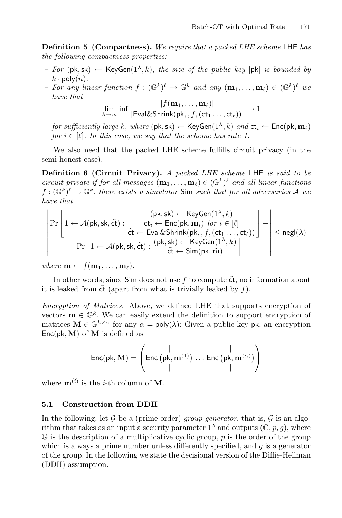**Definition 5 (Compactness).** *We require that a packed LHE scheme* LHE *has the following compactness properties:*

- *For* ( $pk, sk$ )  $\leftarrow$  KeyGen( $1^{\lambda}, k$ )*, the size of the public key*  $|pk|$  *is bounded by*  $k \cdot \text{poly}(n)$ .
- $k \cdot \text{poly}(n)$ .<br>  *For any linear function*  $f: (\mathbb{G}^k)^{\ell} \to \mathbb{G}^k$  and any  $(\mathbf{m}_1, \ldots, \mathbf{m}_{\ell}) \in (\mathbb{G}^k)^{\ell}$  we *have that*

$$
\lim_{\lambda \to \infty} \inf \frac{|f(\mathbf{m}_1, \dots, \mathbf{m}_\ell)|}{|\text{Eval&Shrink}(\text{pk}, f, (\text{ct}_1 \dots, \text{ct}_\ell))|} \to 1
$$

*for sufficiently large* k, where  $(\mathsf{pk}, \mathsf{sk}) \leftarrow \mathsf{KeyGen}(1^{\lambda}, k)$  and  $\mathsf{ct}_i \leftarrow \mathsf{Enc}(\mathsf{pk}, \mathbf{m}_i)$ *for*  $i \in [\ell]$ *. In this case, we say that the scheme has rate 1.* 

We also need that the packed LHE scheme fulfills circuit privacy (in the semi-honest case).

**Definition 6 (Circuit Privacy).** *A packed LHE scheme* LHE *is said to be circuit-private if for all messages*  $(\mathbf{m}_1, \ldots, \mathbf{m}_\ell) \in (\mathbb{G}^k)^\ell$  and all linear functions  $f: (\mathbb{G}^k)^{\ell} \to \mathbb{G}^k$ , there exists a simulator Sim such that for all adversaries A we *have that*

$$
\left|\Pr\left[1\leftarrow \mathcal{A}(\mathsf{pk},\mathsf{sk},\tilde{\mathsf{ct}}): \begin{matrix} (\mathsf{pk},\mathsf{sk}) \leftarrow \mathsf{KeyGen}(1^\lambda,k) \\ \mathsf{ct}_i \leftarrow \mathsf{Enc}(\mathsf{pk},\mathbf{m}_i)\; \textit{for}\; i\in[\ell] \\ \tilde{\mathsf{ct}} \leftarrow \mathsf{Eval\&\text{Shrink}(\mathsf{pk},f,(\mathsf{ct}_1\dots,\mathsf{ct}_\ell))\right] \end{matrix}\right| \leq \mathsf{negl}(\lambda) \\ \Pr\left[1\leftarrow \mathcal{A}(\mathsf{pk},\mathsf{sk},\tilde{\mathsf{ct}}): \begin{matrix} (\mathsf{pk},\mathsf{sk}) \leftarrow \mathsf{KeyGen}(1^\lambda,k) \\ \tilde{\mathsf{ct}} \leftarrow \mathsf{Sim}(\mathsf{pk},\tilde{\mathbf{m}}) \end{matrix}\right]\right.
$$

*where*  $\tilde{\mathbf{m}} \leftarrow f(\mathbf{m}_1, \dots, \mathbf{m}_\ell).$ 

In other words, since  $\mathsf{Sim}$  does not use f to compute  $\tilde{\mathsf{ct}}$ , no information about it is leaked from  $\tilde{\mathbf{ct}}$  (apart from what is trivially leaked by f).

*Encryption of Matrices.* Above, we defined LHE that supports encryption of vectors  $\mathbf{m} \in \mathbb{G}^k$ . We can easily extend the definition to support encryption of matrices  $\mathbf{M} \in \mathbb{G}^{k \times \alpha}$  for any  $\alpha = \text{poly}(\lambda)$ : Given a public key pk, an encryption Enc(pk,**M**) of **M** is defined as

$$
\mathsf{Enc}(\mathsf{pk},\mathbf{M}) = \left( \mathsf{Enc}\left(\mathsf{pk},\mathbf{m}^{(1)}\right) \ldots \mathsf{Enc}\left(\mathsf{pk},\mathbf{m}^{(\alpha)}\right) \right)
$$

where  $\mathbf{m}^{(i)}$  is the *i*-th column of **M**.

#### **5.1 Construction from DDH**

In the following, let  $G$  be a (prime-order) *group generator*, that is,  $G$  is an algorithm that takes as an input a security parameter  $1^{\lambda}$  and outputs  $(\mathbb{G}, p, q)$ , where  $\mathbb G$  is the description of a multiplicative cyclic group, p is the order of the group which is always a prime number unless differently specified, and  $q$  is a generator of the group. In the following we state the decisional version of the Diffie-Hellman (DDH) assumption.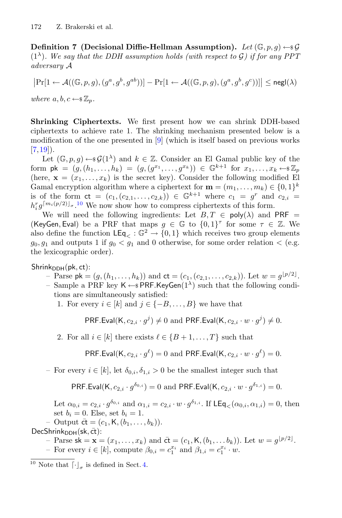**Definition 7** (Decisional Diffie-Hellman Assumption). Let  $(\mathbb{G}, p, q) \leftarrow \mathcal{G}$  $(1^{\lambda})$ *. We say that the DDH assumption holds (with respect to G) if for any PPT adversary* A

$$
\left|\Pr[1\leftarrow \mathcal{A}((\mathbb{G},p,g),(g^a,g^b,g^{ab}))]-\Pr[1\leftarrow \mathcal{A}((\mathbb{G},p,g),(g^a,g^b,g^c))]\right|\le {\rm negl}(\lambda)
$$

*where*  $a, b, c \leftarrow \mathcal{Z}_n$ .

**Shrinking Ciphertexts.** We first present how we can shrink DDH-based ciphertexts to achieve rate 1. The shrinking mechanism presented below is a modification of the one presented in [\[9\]](#page-27-8) (which is itself based on previous works  $[7,19]$  $[7,19]$  $[7,19]$ ).

Let  $(\mathbb{G}, p, q) \leftarrow \mathcal{G}(1^{\lambda})$  and  $k \in \mathbb{Z}$ . Consider an El Gamal public key of the form  $\mathsf{pk} = (g, (h_1, \ldots, h_k) = (g, (g^{x_1}, \ldots, g^{x_k})) \in \mathbb{G}^{k+1}$  for  $x_1, \ldots, x_k \leftarrow \mathbb{Z}_p$ (here,  $\mathbf{x} = (x_1, \ldots, x_k)$  is the secret key). Consider the following modified El Gamal encryption algorithm where a ciphertext for  $\mathbf{m} = (m_1, \ldots, m_k) \in \{0, 1\}^k$ is of the form  $ct = (c_1, (c_{2,1},...,c_{2,k})) \in \mathbb{G}^{k+1}$  where  $c_1 = g^r$  and  $c_{2,i} =$  $h_i^r g^{[m_i(p/2)]_\sigma}$ .<sup>[10](#page-15-0)</sup> We now show how to compress ciphertexts of this form.

We will need the following ingredients: Let  $B,T \in \text{poly}(\lambda)$  and PRF = (KeyGen, Eval) be a PRF that maps  $g \in \mathbb{G}$  to  $\{0,1\}^{\tau}$  for some  $\tau \in \mathbb{Z}$ . We also define the function  $\mathsf{LEq}_{\leq} : \mathbb{G}^2 \to \{0,1\}$  which receives two group elements  $g_0, g_1$  and outputs 1 if  $g_0 < g_1$  and 0 otherwise, for some order relation  $\lt$  (e.g. the lexicographic order).

 $Shrink<sub>DDH</sub>(pk, ct):$ 

- Parse  $\mathsf{pk} = (g, (h_1, \ldots, h_k))$  and  $\mathsf{ct} = (c_1, (c_{2,1}, \ldots, c_{2,k}))$ . Let  $w = g^{\lfloor p/2 \rfloor}$ .
- Sample a PRF key K  $\leftarrow$ \$ PRF.KeyGen(1<sup> $\lambda$ </sup>) such that the following conditions are simultaneously satisfied:
	- 1. For every  $i \in [k]$  and  $j \in \{-B, \ldots, B\}$  we have that

PRF.Eval(K,  $c_2$ ;  $\cdot$   $q^j$ )  $\neq$  0 and PRF.Eval(K,  $c_2$ ;  $\cdot$   $w$   $\cdot$   $q^j$ )  $\neq$  0.

2. For all  $i \in [k]$  there exists  $\ell \in \{B+1,\ldots,T\}$  such that

$$
\mathsf{PRF.Eval}(K, c_{2,i} \cdot g^{\ell}) = 0 \text{ and } \mathsf{PRF.Eval}(K, c_{2,i} \cdot w \cdot g^{\ell}) = 0.
$$

– For every  $i \in [k]$ , let  $\delta_{0,i}, \delta_{1,i} > 0$  be the smallest integer such that

$$
\mathsf{PRF.Eval}(K, c_{2,i} \cdot g^{\delta_{0,i}}) = 0 \text{ and } \mathsf{PRF.Eval}(K, c_{2,i} \cdot w \cdot g^{\delta_{1,i}}) = 0.
$$

Let  $\alpha_{0,i} = c_{2,i} \cdot g^{\delta_{0,i}}$  and  $\alpha_{1,i} = c_{2,i} \cdot w \cdot g^{\delta_{1,i}}$ . If  $\mathsf{LEq}_{\leq}(\alpha_{0,i}, \alpha_{1,i}) = 0$ , then set  $b_i = 0$ . Else, set  $b_i = 1$ .

 $-$  Output  $c\bar{\mathbf{t}} = (c_1, K, (b_1, \ldots, b_k)).$ 

 $DecShrink<sub>DDH</sub>(sk, ct):$ 

- Parse  $\mathsf{sk} = \mathbf{x} = (x_1, \ldots, x_k)$  and  $\bar{\mathsf{ct}} = (c_1, \mathsf{K}, (b_1, \ldots, b_k))$ . Let  $w = g^{\lfloor p/2 \rfloor}$ .
- For every  $i \in [k]$ , compute  $\beta_{0,i} = c_1^{x_i}$  and  $\beta_{1,i} = c_1^{x_i} \cdot w$ .

<span id="page-15-0"></span><sup>&</sup>lt;sup>10</sup> Note that  $\lceil \cdot \rceil_{\sigma}$  is defined in Sect. [4.](#page-12-1)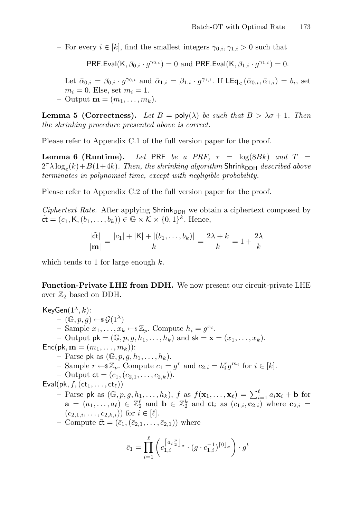– For every  $i \in [k]$ , find the smallest integers  $\gamma_{0,i}, \gamma_{1,i} > 0$  such that

$$
\mathsf{PRF}.\mathsf{Eval}(\mathsf{K},\beta_{0,i}\cdot g^{\gamma_{0,i}})=0\text{ and } \mathsf{PRF}.\mathsf{Eval}(\mathsf{K},\beta_{1,i}\cdot g^{\gamma_{1,i}})=0.
$$

Let  $\bar{\alpha}_{0,i} = \beta_{0,i} \cdot g^{\gamma_{0,i}}$  and  $\bar{\alpha}_{1,i} = \beta_{1,i} \cdot g^{\gamma_{1,i}}$ . If  $\textsf{LEq}_{\leq}(\bar{\alpha}_{0,i}, \bar{\alpha}_{1,i}) = b_i$ , set  $m_i = 0$ . Else, set  $m_i = 1$ .  $-$  Output  $\mathbf{m} = (m_1, \ldots, m_k)$ .

<span id="page-16-0"></span>**Lemma 5 (Correctness).** *Let*  $B = \text{poly}(\lambda)$  *be such that*  $B > \lambda \sigma + 1$ *. Then the shrinking procedure presented above is correct.*

<span id="page-16-1"></span>Please refer to Appendix C.1 of the full version paper for the proof.

**Lemma 6 (Runtime).** *Let* PRF *be a PRF*,  $\tau = \log(8Bk)$  *and*  $T =$  $2^{\tau} \lambda \log_{e}(k) + B(1+4k)$ *. Then, the shrinking algorithm* Shrink<sub>DDH</sub> *described above terminates in polynomial time, except with negligible probability.*

Please refer to Appendix C.2 of the full version paper for the proof.

*Ciphertext Rate.* After applying Shrink<sub>DDH</sub> we obtain a ciphertext composed by  $\tilde{\mathsf{ct}} = (c_1, \mathsf{K}, (b_1, \ldots, b_k)) \in \mathbb{G} \times \mathcal{K} \times \{0, 1\}^k$ . Hence,

$$
\frac{|\tilde{\mathsf{ct}}|}{|\mathbf{m}|} = \frac{|c_1| + |\mathsf{K}| + |(b_1, \dots, b_k)|}{k} = \frac{2\lambda + k}{k} = 1 + \frac{2\lambda}{k}
$$

which tends to 1 for large enough  $k$ .

**Function-Private LHE from DDH.** We now present our circuit-private LHE over  $\mathbb{Z}_2$  based on DDH.

KeyGen(1<sup>λ</sup>, k):  
\n- (G, p, g) 
$$
\leftarrow
$$
 s G(1<sup>λ</sup>)  
\n- Sample  $x_1, ..., x_k \leftarrow$  s Z<sub>p</sub>. Compute  $h_i = g^{x_i}$ .  
\n- Output  $\mathbf{pk} = (\mathbf{G}, p, g, h_1, ..., h_k)$  and  $\mathbf{sk} = \mathbf{x} = (x_1, ..., x_k)$ .  
\nEnc( $\mathbf{pk}, \mathbf{m} = (m_1, ..., m_k)$ ):  
\n- Parse  $\mathbf{pk}$  as  $(\mathbf{G}, p, g, h_1, ..., h_k)$ .  
\n- Sample  $r \leftarrow$  s Z<sub>p</sub>. Compute  $c_1 = g^r$  and  $c_{2,i} = h_i^r g^{m_i}$  for  $i \in [k]$ .  
\n- Output  $\mathbf{ct} = (c_1, (c_{2,1}, ..., c_{2,k}))$ .  
\nEval( $\mathbf{pk}, f, (\mathbf{ct}_1, ..., \mathbf{ct}_\ell)$ )  
\n- Parse  $\mathbf{pk}$  as  $(\mathbf{G}, p, g, h_1, ..., h_k)$ , f as  $f(\mathbf{x}_1, ..., \mathbf{x}_\ell) = \sum_{i=1}^\ell a_i \mathbf{x}_i + \mathbf{b}$  for  
\n $\mathbf{a} = (a_1, ..., a_\ell) \in \mathbb{Z}_2^{\ell}$  and  $\mathbf{b} \in \mathbb{Z}_2^k$  and  $\mathbf{ct}_i$  as  $(c_{1,i}, c_{2,i})$  where  $\mathbf{c}_{2,i} = (c_{2,1,i}, ..., c_{2,k,i})$  for  $i \in [\ell]$ .  
\n- Compute  $\mathbf{ct} = (\bar{c}_1, (\bar{c}_{2,1}, ..., \bar{c}_{2,1}))$  where  
\n
$$
\bar{c}_1 = \prod_{i=1}^{\ell} \left( c_{1,i}^{\lceil a_i \frac{p}{2} \rceil_{\sigma}} \cdot (g \cdot c_{1,i}^{-1})^{\lceil 0 \rceil_{\sigma}} \right) \cdot g^t
$$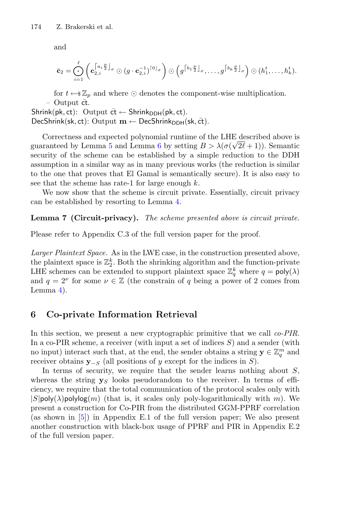and

$$
\bar{\mathbf{c}}_2 = \bigodot_{i=1}^{\ell} \left( \mathbf{c}_{2,i}^{\left[a_i \frac{p}{2}\right]_{\sigma}} \odot (g \cdot \mathbf{c}_{2,i}^{-1})^{\left[\begin{smallmatrix}0\end{smallmatrix}\right]_{\sigma}} \right) \odot \left( g^{\left[b_1 \frac{p}{2}\right]_{\sigma}}, \ldots, g^{\left[b_k \frac{p}{2}\right]_{\sigma}} \right) \odot (h_1^t, \ldots, h_k^t).
$$

for  $t \leftarrow \mathscr{Z}_p$  and where  $\odot$  denotes the component-wise multiplication.

 $-$  Output  $\bar{\text{ct}}$ . Shrink(pk, ct): Output  $c\bar{t} \leftarrow$  Shrink<sub>DDH</sub>(pk, ct).  $DecShrink(sk, ct): Output \, \mathbf{m} \leftarrow DecShrink<sub>DDH</sub>(sk, ct).$ 

Correctness and expected polynomial runtime of the LHE described above is guaranteed by Lemma [5](#page-16-0) and Lemma [6](#page-16-1) by setting  $B > \lambda(\sigma(\sqrt{2\ell}+1))$ . Semantic security of the scheme can be established by a simple reduction to the DDH assumption in a similar way as in many previous works (the reduction is similar to the one that proves that El Gamal is semantically secure). It is also easy to see that the scheme has rate-1 for large enough  $k$ .

We now show that the scheme is circuit private. Essentially, circuit privacy can be established by resorting to Lemma [4.](#page-12-2)

#### **Lemma 7 (Circuit-privacy).** *The scheme presented above is circuit private.*

Please refer to Appendix C.3 of the full version paper for the proof.

*Larger Plaintext Space.* As in the LWE case, in the construction presented above, the plaintext space is  $\mathbb{Z}_2^k$ . Both the shrinking algorithm and the function-private LHE schemes can be extended to support plaintext space  $\mathbb{Z}_q^k$  where  $q = \text{poly}(\lambda)$ and  $q = 2^{\nu}$  for some  $\nu \in \mathbb{Z}$  (the constrain of q being a power of 2 comes from Lemma [4\)](#page-12-2).

## <span id="page-17-0"></span>**6 Co-private Information Retrieval**

In this section, we present a new cryptographic primitive that we call *co-PIR*. In a co-PIR scheme, a receiver (with input a set of indices  $S$ ) and a sender (with no input) interact such that, at the end, the sender obtains a string  $\mathbf{y} \in \mathbb{Z}_q^m$  and receiver obtains **y**<sub>−S</sub> (all positions of y except for the indices in S).

In terms of security, we require that the sender learns nothing about  $S$ , whereas the string  $y_S$  looks pseudorandom to the receiver. In terms of efficiency, we require that the total communication of the protocol scales only with  $|S|$ poly $(\lambda)$ polylog $(m)$  (that is, it scales only poly-logarithmically with m). We present a construction for Co-PIR from the distributed GGM-PPRF correlation (as shown in [\[5\]](#page-27-0)) in Appendix E.1 of the full version paper; We also present another construction with black-box usage of PPRF and PIR in Appendix E.2 of the full version paper.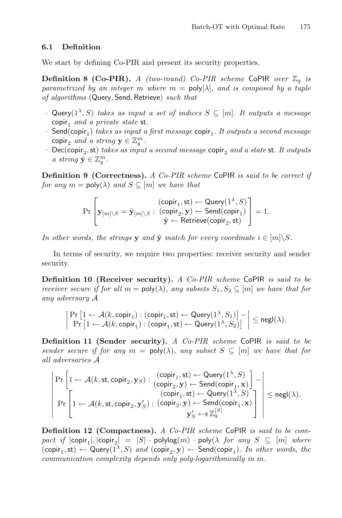#### **6.1 Definition**

We start by defining Co-PIR and present its security properties.

**Definition 8 (Co-PIR).** *A (two-round) Co-PIR scheme* CoPIR *over*  $\mathbb{Z}_q$  *is parametrized by an integer* m where  $m = \text{poly}[\lambda]$ , and is composed by a tuple *of algorithms* (Query, Send, Retrieve) *such that*

- *–* Query(1λ, S) *takes as input a set of indices* <sup>S</sup> <sup>⊆</sup> [m]*. It outputs a message* copir<sup>1</sup> *and a private state* st*.*
- *–* Send(copir<sub>1</sub>) *takes as input a first message* copir<sub>1</sub>. It *outputs a second message* copir<sub>2</sub> and a string  $y \in \mathbb{Z}_q^m$ .
- *–* Dec(copir<sub>2</sub>, st) *takes as input a second message* copir<sub>2</sub> *and a state* st. It outputs *a* string  $\tilde{\mathbf{y}} \in \mathbb{Z}_q^m$ .

**Definition 9 (Correctness).** *A Co-PIR scheme* CoPIR *is said to be correct if for any*  $m = \text{poly}(\lambda)$  *and*  $S \subseteq [m]$  *we have that* 

$$
\Pr\left[\mathbf{y}_{[m]\setminus S} = \tilde{\mathbf{y}}_{[m]\setminus S}: \begin{matrix} (\text{copir}_1, \text{st}) \leftarrow \text{Query}(1^\lambda, S) \\ (\text{copir}_2, \mathbf{y}) \leftarrow \text{Send}(\text{copir}_1) \\ \tilde{\mathbf{y}} \leftarrow \text{Retrieve}(\text{copir}_2, \text{st}) \end{matrix}\right] = 1.
$$

*In other words, the strings* **y** and  $\tilde{y}$  match for every coordinate  $i \in [m] \backslash S$ .

In terms of security, we require two properties: receiver security and sender security.

**Definition 10 (Receiver security).** *A Co-PIR scheme* CoPIR *is said to be receiver secure if for all*  $m = \text{poly}(\lambda)$ , any subsets  $S_1, S_2 \subseteq [m]$  we have that for *any adversary* A

$$
\left|\frac{\Pr\left[1\leftarrow \mathcal{A}(k, \mathsf{copir}_1) : (\mathsf{copir}_1, \mathsf{st})\leftarrow \mathsf{Query}(1^\lambda, S_1)\right] - \right|}{\Pr\left[1\leftarrow \mathcal{A}(k, \mathsf{copir}_1) : (\mathsf{copir}_1, \mathsf{st})\leftarrow \mathsf{Query}(1^\lambda, S_2)\right]}\right| \leq {\mathsf{negl}}(\lambda).
$$

**Definition 11 (Sender security).** *A Co-PIR scheme* CoPIR *is said to be sender secure if for any*  $m = \text{poly}(\lambda)$ , any subset  $S \subseteq [m]$  we have that for *all adversaries* A

$$
\left|\begin{array}{l} \Pr\left[1\leftarrow \mathcal{A}(k,{\sf st},\text{copir}_{2},\mathbf{y}_{S}) : \begin{array}{l} ({\sf copir}_{1}, {\sf st}) \leftarrow {\sf Query}(1^{\lambda}, S) \\ ({\sf copir}_{2},\mathbf{y}) \leftarrow {\sf Send}({\sf copir}_{1},\mathbf{x}) \end{array} \right] - \\ \Pr\left[1\leftarrow \mathcal{A}(k,{\sf st}, {\sf copir}_{2},\mathbf{y}'_{S}) : \begin{array}{l} ({\sf copir}_{2},\mathbf{y}) \leftarrow {\sf Send}({\sf copir}_{1},\mathbf{x}) \\ {\sf speed}(2^{\lambda},S) \end{array} \right] \right| \leq {\sf negl}(\lambda). \\ \mathbf{y}_{S}' \leftarrow \mathbb{X}_{q}^{[S]} \end{array} \right|
$$

**Definition 12 (Compactness).** *A Co-PIR scheme* CoPIR *is said to be compact if*  $|$ copir<sub>1</sub> $|$ ,  $|$ copir<sub>2</sub> $| = |S| \cdot$  polylog $(m) \cdot$  poly $(\lambda$  *for any*  $S \subseteq [m]$  *where*  $(\text{copir}_1, \text{st}) \leftarrow \text{Query}(1^{\lambda}, S)$  *and*  $(\text{copir}_2, \textbf{y}) \leftarrow \text{Send}(\text{copir}_1)$ *. In other words, the communication complexity depends only poly-logarithmically in* m*.*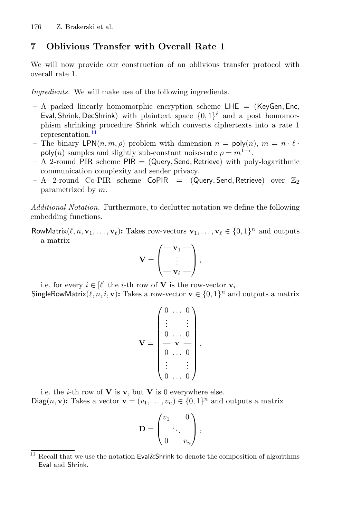# <span id="page-19-0"></span>**7 Oblivious Transfer with Overall Rate 1**

We will now provide our construction of an oblivious transfer protocol with overall rate 1.

*Ingredients.* We will make use of the following ingredients.

- $A$  packed linearly homomorphic encryption scheme LHE  $=$  (KeyGen, Enc, Eval, Shrink, DecShrink) with plaintext space  $\{0,1\}^{\ell}$  and a post homomorphism shrinking procedure Shrink which converts ciphertexts into a rate 1 representation. $^{11}$  $^{11}$  $^{11}$
- The binary LPN $(n, m, \rho)$  problem with dimension  $n = \text{poly}(n)$ ,  $m = n \cdot \ell$ . poly(n) samples and slightly sub-constant noise-rate  $\rho = m^{1-\epsilon}$ .
- $-$  A 2-round PIR scheme PIR  $=$  (Query, Send, Retrieve) with poly-logarithmic communication complexity and sender privacy.
- $-$  A 2-round Co-PIR scheme CoPIR = (Query, Send, Retrieve) over  $\mathbb{Z}_2$ parametrized by m.

*Additional Notation.* Furthermore, to declutter notation we define the following embedding functions.

RowMatrix $(\ell, n, \mathbf{v}_1, \dots, \mathbf{v}_\ell)$ : Takes row-vectors  $\mathbf{v}_1, \dots, \mathbf{v}_\ell \in \{0, 1\}^n$  and outputs a matrix

$$
\mathbf{V} = \begin{pmatrix} -\mathbf{v}_1 - \\ \vdots \\ -\mathbf{v}_\ell - \end{pmatrix},
$$

i.e. for every  $i \in [\ell]$  the *i*-th row of **V** is the row-vector **v**<sub>*i*</sub>. SingleRowMatrix( $\ell, n, i, \mathbf{v}$ ): Takes a row-vector  $\mathbf{v} \in \{0, 1\}^n$  and outputs a matrix

$$
\mathbf{V} = \begin{pmatrix} 0 & \dots & 0 \\ \vdots & & \vdots \\ 0 & \dots & 0 \\ -\mathbf{v} & \mathbf{v} \\ \vdots & & \vdots \\ 0 & \dots & 0 \end{pmatrix},
$$

i.e. the *i*-th row of **V** is **v**, but **V** is 0 everywhere else. Diag(n, **v**): Takes a vector  $\mathbf{v} = (v_1, \ldots, v_n) \in \{0, 1\}^n$  and outputs a matrix

$$
\mathbf{D} = \begin{pmatrix} v_1 & 0 \\ & \ddots & \\ 0 & v_n \end{pmatrix},
$$

<span id="page-19-1"></span> $\overline{^{11}}$  Recall that we use the notation Eval&Shrink to denote the composition of algorithms Eval and Shrink.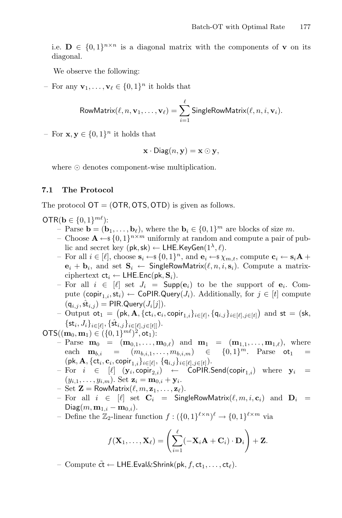i.e.  $\mathbf{D} \in \{0,1\}^{n \times n}$  is a diagonal matrix with the components of **v** on its diagonal.

We observe the following:

– For any  $\mathbf{v}_1, \ldots, \mathbf{v}_{\ell} \in \{0, 1\}^n$  it holds that

$$
\text{RowMatrix}(\ell,n,\mathbf{v}_1,\ldots,\mathbf{v}_{\ell})=\sum_{i=1}^{\ell} \text{SingleRowMatrix}(\ell,n,i,\mathbf{v}_i).
$$

– For  $\mathbf{x}, \mathbf{y} \in \{0, 1\}^n$  it holds that

$$
\mathbf{x} \cdot \mathsf{Diag}(n, \mathbf{y}) = \mathbf{x} \odot \mathbf{y},
$$

where  $\odot$  denotes component-wise multiplication.

#### <span id="page-20-0"></span>**7.1 The Protocol**

The protocol  $\mathsf{OT} = (\mathsf{OTR}, \mathsf{OTS}, \mathsf{OTD})$  is given as follows.

OTR(**b**  $\in \{0, 1\}^{m\ell}$ ):

- Parse **b** =  $(\mathbf{b}_1, ..., \mathbf{b}_\ell)$ , where the **b**<sub>i</sub> ∈ {0, 1}<sup>m</sup> are blocks of size m.
- Choose  $\mathbf{A} \leftarrow \{0, 1\}^{n \times m}$  uniformly at random and compute a pair of public and secret key (pk, sk)  $\leftarrow$  LHE.KeyGen( $1^{\lambda}$ , $\ell$ ).
- For all *i* ∈ [ $\ell$ ], choose  $\mathbf{s}_i \leftarrow \{\{0,1\}^n\}$ , and  $\mathbf{e}_i \leftarrow \{\mathbf{s}}\}$  x<sub>m,t</sub>, compute  $\mathbf{c}_i \leftarrow \mathbf{s}_i \mathbf{A} + \mathbf{e}_i$  $\mathbf{e}_i + \mathbf{b}_i$ , and set  $\mathbf{S}_i \leftarrow$  SingleRowMatrix $(\ell, n, i, \mathbf{s}_i)$ . Compute a matrixciphertext  $ct_i \leftarrow \text{LHE}.\text{Enc}(pk, \mathbf{S}_i).$
- For all  $i \in [\ell]$  set  $J_i = \textsf{Supp}(e_i)$  to be the support of  $e_i$ . Compute (copir<sub>1,i</sub>,st<sub>i</sub>) ← CoPIR.Query(J<sub>i</sub>). Additionally, for  $j \in [t]$  compute  $(q_{i,j}, \hat{st}_{i,j})$  = PIR.Query $(J_i[j])$ .
- $-$  Output  $ot_1 = (pk, A, {ct_i, c_i, copir_{1,i}}_{i∈[ℓ]}, {q_{i,j}}_{i∈[ℓ],j∈[t]})$  and  $st = (sk,$  $\{\mathsf{st}_i, J_i\}_{i \in [\ell]}, \{\hat{\mathsf{st}}_{i,j}\}_{i \in [\ell], j \in [t]]}).$
- OTS( $(\mathbf{m}_0, \mathbf{m}_1) \in (\{0, 1\}^{m\ell})^2, \mathsf{ot}_1)$ :
	- $-$  Parse  $\mathbf{m}_0 = (\mathbf{m}_{0,1}, \ldots, \mathbf{m}_{0,\ell})$  and  $\mathbf{m}_1 = (\mathbf{m}_{1,1}, \ldots, \mathbf{m}_{1,\ell}),$  where each  $\mathbf{m}_{b,i} = (m_{b,i,1},...,m_{b,i,m}) \in \{0,1\}^m$ . Parse ot<sub>1</sub>  $(\mathsf{pk}, \mathbf{A}, \{\mathsf{ct}_i, \mathbf{c}_i, \mathsf{copir}_{1,i}\}_{i \in [\ell]}, \{\mathsf{q}_{i,j}\}_{i \in [\ell], j \in [t]}).$
	- $-$  For  $i \in [\ell]$   $(\mathbf{y}_i, \mathsf{copir}_{2,i}) \leftarrow$  CoPIR.Send $(\mathsf{copir}_{1,i})$  where  $\mathbf{y}_i =$  $(y_{i,1},\ldots,y_{i,m})$ . Set  $\mathbf{z}_i = \mathbf{m}_{0,i} + \mathbf{y}_i$ .
	- $-$  Set  $\mathbf{Z} =$  RowMatrix $(\ell, m, \mathbf{z}_1, \dots, \mathbf{z}_\ell).$
	- For all  $i \in [\ell]$  set  $\mathbf{C}_i = \mathsf{SingleRowMatrix}(\ell, m, i, \mathbf{c}_i)$  and  $\mathbf{D}_i =$  $Diag(m, m_{1,i} - m_{0,i}).$
	- Define the  $\mathbb{Z}_2$ -linear function  $f: (\{0,1\}^{\ell \times n})^{\ell} \to \{0,1\}^{\ell \times m}$  via

$$
f(\mathbf{X}_1,\ldots,\mathbf{X}_\ell)=\left(\sum_{i=1}^\ell(-\mathbf{X}_i\mathbf{A}+\mathbf{C}_i)\cdot\mathbf{D}_i\right)+\mathbf{Z}.
$$

– Compute  $\tilde{\mathsf{ct}}$  ← LHE.Eval&Shrink(pk,  $f, \mathsf{ct}_1, \ldots, \mathsf{ct}_\ell$ ).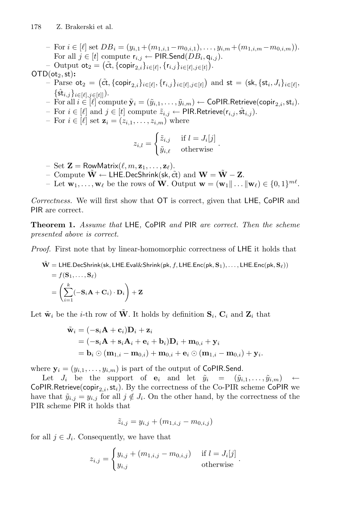– For  $i \in [\ell]$  set  $DB_i = (y_{i,1}+(m_{1,i,1}-m_{0,i,1}),\ldots,y_{i,m}+(m_{1,i,m}-m_{0,i,m})).$ For all  $j \in [t]$  compute  $\mathsf{r}_{i,j} \leftarrow \mathsf{PIR}.\mathsf{Send}(DB_i, \mathsf{q}_{i,j}).$  $\begin{split} \text{\textend{split}} \text{ output } \texttt{ot}_2 = \big(\tilde{\text{ct}}, \{\textsf{copir}_{2,i}\}_{i \in [\ell]}, \{\mathsf{r}_{i,j}\}_{i \in [\ell], j \in [t]}\big). \end{split}$ OTD(ot<sub>2</sub>, st):  $-$  Parse ot<sub>2</sub> =  $(\tilde{ct}, {\lbrace \text{copir}_{2,i} \rbrace_{i \in [\ell]}, \lbrace r_{i,j} \rbrace_{i \in [\ell], j \in [t]}})$  and  $st = (sk, {\lbrace st_i, J_i \rbrace_{i \in [\ell]},$  $\{\hat{\mathsf{st}}_{i,j}\}_{i\in[\ell],j\in[t]]}).$  $-$  For all  $i \in [\ell]$  compute  $\tilde{\mathbf{y}}_i = (\tilde{y}_{i,1}, \ldots, \tilde{y}_{i,m})$  ← CoPIR.Retrieve(copir<sub>2,*i*</sub>, st<sub>*i*</sub>). – For  $i \in [\ell]$  and  $j \in [t]$  compute  $\tilde{z}_{i,j} \leftarrow$  PIR. Retrieve $(r_{i,j}, \hat{\text{st}}_{i,j})$ . – For  $i \in [\ell]$  set  $\mathbf{z}_i = (z_{i,1},\ldots,z_{i,m})$  where

$$
z_{i,l} = \begin{cases} \tilde{z}_{i,j} & \text{if } l = J_i[j] \\ \tilde{y}_{i,\ell} & \text{otherwise} \end{cases}.
$$

- $-$  Set  $\mathbf{Z} = \mathsf{RowMatrix}(\ell, m, \mathbf{z}_1, \dots, \mathbf{z}_\ell).$
- Compute **W** ← LHE.DecShrink(sk,  $\tilde{ct}$ ) and **W** =  $\tilde{W}$  **Z**.
- $-\text{ Let } \mathbf{w}_1, \ldots, \mathbf{w}_\ell \text{ be the rows of } \mathbf{W}.$  Output  $\mathbf{w} = (\mathbf{w}_1 \| \ldots \| \mathbf{w}_\ell) \in \{0, 1\}^{m\ell}.$

*Correctness.* We will first show that OT is correct, given that LHE, CoPIR and PIR are correct.

**Theorem 1.** *Assume that* LHE*,* CoPIR *and* PIR *are correct. Then the scheme presented above is correct.*

*Proof.* First note that by linear-homomorphic correctness of LHE it holds that

$$
\tilde{\mathbf{W}} = \mathsf{LHE}.\mathsf{DecShrink}(\mathsf{sk}, \mathsf{LHE}.\mathsf{Eval}\&\mathsf{Shrink}(\mathsf{pk}, f, \mathsf{LHE}.\mathsf{Enc}(\mathsf{pk}, \mathbf{S}_1), \dots, \mathsf{LHE}.\mathsf{Enc}(\mathsf{pk}, \mathbf{S}_\ell))
$$
\n
$$
= f(\mathbf{S}_1, \dots, \mathbf{S}_\ell)
$$
\n
$$
= \left(\sum_{i=1}^k (-\mathbf{S}_i\mathbf{A} + \mathbf{C}_i) \cdot \mathbf{D}_i\right) + \mathbf{Z}
$$

Let  $\tilde{\mathbf{w}}_i$  be the *i*-th row of  $\tilde{\mathbf{W}}$ . It holds by definition  $\mathbf{S}_i$ ,  $\mathbf{C}_i$  and  $\mathbf{Z}_i$  that

$$
\begin{aligned} \tilde{\mathbf{w}}_i &= (-\mathbf{s}_i \mathbf{A} + \mathbf{c}_i)\mathbf{D}_i + \mathbf{z}_i \\ &= (-\mathbf{s}_i \mathbf{A} + \mathbf{s}_i \mathbf{A}_i + \mathbf{e}_i + \mathbf{b}_i)\mathbf{D}_i + \mathbf{m}_{0,i} + \mathbf{y}_i \\ &= \mathbf{b}_i \odot (\mathbf{m}_{1,i} - \mathbf{m}_{0,i}) + \mathbf{m}_{0,i} + \mathbf{e}_i \odot (\mathbf{m}_{1,i} - \mathbf{m}_{0,i}) + \mathbf{y}_i. \end{aligned}
$$

where  $y_i = (y_{i,1}, \ldots, y_{i,m})$  is part of the output of CoPIR.Send.

Let  $J_i$  be the support of  $e_i$  and let  $\tilde{y}_i = (\tilde{y}_{i,1},\ldots,\tilde{y}_{i,m}) \leftarrow$ CoPIR.Retrieve(copir<sub>2,i,</sub>st<sub>i</sub>). By the correctness of the Co-PIR scheme CoPIR we have that  $\tilde{y}_{i,j} = y_{i,j}$  for all  $j \notin J_i$ . On the other hand, by the correctness of the PIR scheme PIR it holds that

$$
\tilde{z}_{i,j} = y_{i,j} + (m_{1,i,j} - m_{0,i,j})
$$

for all  $j \in J_i$ . Consequently, we have that

$$
z_{i,j} = \begin{cases} y_{i,j} + (m_{1,i,j} - m_{0,i,j}) & \text{if } l = J_i[j] \\ y_{i,j} & \text{otherwise} \end{cases}.
$$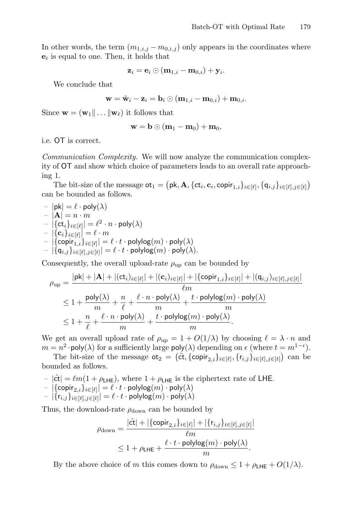In other words, the term  $(m_{1,i,j} - m_{0,i,j})$  only appears in the coordinates where **e**<sup>i</sup> is equal to one. Then, it holds that

$$
\mathbf{z}_i = \mathbf{e}_i \odot (\mathbf{m}_{1,i} - \mathbf{m}_{0,i}) + \mathbf{y}_i.
$$

We conclude that

$$
\mathbf{w}=\tilde{\mathbf{w}}_i-\mathbf{z}_i=\mathbf{b}_i\odot(\mathbf{m}_{1,i}-\mathbf{m}_{0,i})+\mathbf{m}_{0,i}.
$$

Since  $\mathbf{w} = (\mathbf{w}_1 \| \dots \| \mathbf{w}_\ell)$  it follows that

$$
\mathbf{w}=\mathbf{b}\odot(\mathbf{m}_1-\mathbf{m}_0)+\mathbf{m}_0,
$$

i.e. OT is correct.

*Communication Complexity.* We will now analyze the communication complexity of OT and show which choice of parameters leads to an overall rate approaching 1.

The bit-size of the message  $ot_1 = (pk, A, \{ct_i, c_i, copir_{1,i}\}_{i \in [\ell]}, \{q_{i,j}\}_{i \in [\ell], j \in [t]})$ can be bounded as follows.

$$
\begin{array}{l} \mathsf{--} \ |\mathsf{pk}| = \ell \cdot \mathsf{poly}(\lambda) \\ \mathsf{--} \ |\mathsf{A}| = n \cdot m \\ \mathsf{--} \ |\{\mathsf{ct}_i\}_{i \in [\ell]}| = \ell^2 \cdot n \cdot \mathsf{poly}(\lambda) \\ \mathsf{--} \ |\{\mathsf{c}_i\}_{i \in [\ell]}| = \ell \cdot m \\ \mathsf{--} \ |\{\mathsf{copir}_{1,i}\}_{i \in [\ell]}| = \ell \cdot t \cdot \mathsf{polylog}(m) \cdot \mathsf{poly}(\lambda) \\ \mathsf{--} \ |\{\mathsf{q}_{i,j}\}_{i \in [\ell],j \in [t]}| = \ell \cdot t \cdot \mathsf{polylog}(m) \cdot \mathsf{poly}(\lambda). \end{array}
$$

Consequently, the overall upload-rate  $\rho_{\text{up}}$  can be bounded by

$$
\rho_{\text{up}} = \frac{|\text{pk}| + |\textbf{A}| + |(\text{ct}_i)_{i \in [\ell]}| + |\text{(c}_i)_{i \in [\ell]}| + |\{\text{copir}_{1,i}\}_{i \in [\ell]}| + |(\text{q}_{i,j})_{i \in [\ell],j \in [t]}|}{\ell m} \\ \leq 1 + \frac{\text{poly}(\lambda)}{m} + \frac{n}{\ell} + \frac{\ell \cdot n \cdot \text{poly}(\lambda)}{m} + \frac{t \cdot \text{polylog}(m) \cdot \text{poly}(\lambda)}{m} \\ \leq 1 + \frac{n}{\ell} + \frac{\ell \cdot n \cdot \text{poly}(\lambda)}{m} + \frac{t \cdot \text{polylog}(m) \cdot \text{poly}(\lambda)}{m}.
$$

We get an overall upload rate of  $\rho_{\text{up}} = 1 + O(1/\lambda)$  by choosing  $\ell = \lambda \cdot n$  and  $m = n^2 \cdot \text{poly}(\lambda)$  for a sufficiently large  $\text{poly}(\lambda)$  depending on  $\epsilon$  (where  $t = m^{1-\epsilon}$ ).

The bit-size of the message  $\sigma t_2 = (\tilde{ct}, {\{copir_{2,i}\}}_{i \in [\ell]}, {\{r_{i,j}\}}_{i \in [\ell], j \in [t]})$  can be bounded as follows.

- $|\tilde{ct}| = \ell m(1 + \rho_{LHE}),$  where  $1 + \rho_{LHE}$  is the ciphertext rate of LHE.
- $\big\vert \{\mathsf{copir}_{2,i}\}_{i \in [\ell]} \big\vert = \ell \cdot t \cdot \mathsf{polylog}(m) \cdot \mathsf{poly}(\lambda)$

$$
- | \{ \mathsf{r}_{i,j} \}_{i \in [\ell], j \in [t]} | = \ell \cdot t \cdot \mathsf{polylog}(m) \cdot \mathsf{poly}(\lambda)
$$

Thus, the download-rate  $\rho_{\text{down}}$  can be bounded by

$$
\rho_{\text{down}} = \frac{|\tilde{\mathsf{ct}}| + |\{\text{copir}_{2,i}\}_{i \in [\ell]} + |\{r_{i,j}\}_{i \in [\ell], j \in [t]}|}{\ell m}
$$
  

$$
\leq 1 + \rho_{\text{LHE}} + \frac{\ell \cdot t \cdot \text{polylog}(m) \cdot \text{poly}(\lambda)}{m}.
$$

By the above choice of m this comes down to  $\rho_{\text{down}} \leq 1 + \rho_{\text{LHE}} + O(1/\lambda)$ .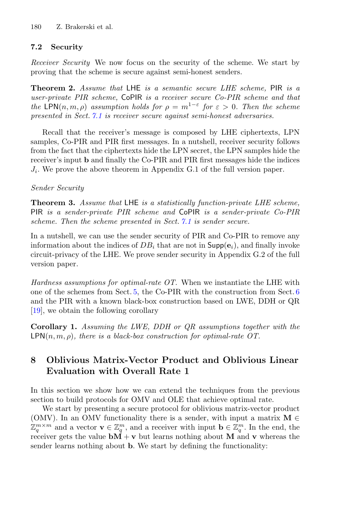## **7.2 Security**

*Receiver Security* We now focus on the security of the scheme. We start by proving that the scheme is secure against semi-honest senders.

**Theorem 2.** *Assume that* LHE *is a semantic secure LHE scheme,* PIR *is a user-private PIR scheme,* CoPIR *is a receiver secure Co-PIR scheme and that the* LPN $(n, m, \rho)$  *assumption holds for*  $\rho = m^{1-\epsilon}$  *for*  $\varepsilon > 0$ *. Then the scheme presented in Sect. [7.1](#page-20-0) is receiver secure against semi-honest adversaries.*

Recall that the receiver's message is composed by LHE ciphertexts, LPN samples, Co-PIR and PIR first messages. In a nutshell, receiver security follows from the fact that the ciphertexts hide the LPN secret, the LPN samples hide the receiver's input **b** and finally the Co-PIR and PIR first messages hide the indices  $J_i$ . We prove the above theorem in Appendix G.1 of the full version paper.

### *Sender Security*

**Theorem 3.** *Assume that* LHE *is a statistically function-private LHE scheme,* PIR *is a sender-private PIR scheme and* CoPIR *is a sender-private Co-PIR scheme. Then the scheme presented in Sect. [7.1](#page-20-0) is sender secure.*

In a nutshell, we can use the sender security of PIR and Co-PIR to remove any information about the indices of  $DB_i$  that are not in  $\mathsf{Supp}(e_i)$ , and finally invoke circuit-privacy of the LHE. We prove sender security in Appendix G.2 of the full version paper.

*Hardness assumptions for optimal-rate OT.* When we instantiate the LHE with one of the schemes from Sect. [5,](#page-13-0) the Co-PIR with the construction from Sect. [6](#page-17-0) and the PIR with a known black-box construction based on LWE, DDH or QR [\[19](#page-28-1)], we obtain the following corollary

**Corollary 1.** *Assuming the LWE, DDH or QR assumptions together with the*  $\textsf{LPN}(n,m,\rho)$ , there is a black-box construction for optimal-rate OT.

# **8 Oblivious Matrix-Vector Product and Oblivious Linear Evaluation with Overall Rate 1**

In this section we show how we can extend the techniques from the previous section to build protocols for OMV and OLE that achieve optimal rate.

We start by presenting a secure protocol for oblivious matrix-vector product (OMV). In an OMV functionality there is a sender, with input a matrix  $M \in$  $\mathbb{Z}_q^{m \times m}$  and a vector **v**  $\in \mathbb{Z}_q^m$ , and a receiver with input **b**  $\in \mathbb{Z}_q^m$ . In the end, the receiver gets the value  $bM + v$  but learns nothing about M and v whereas the sender learns nothing about **b**. We start by defining the functionality: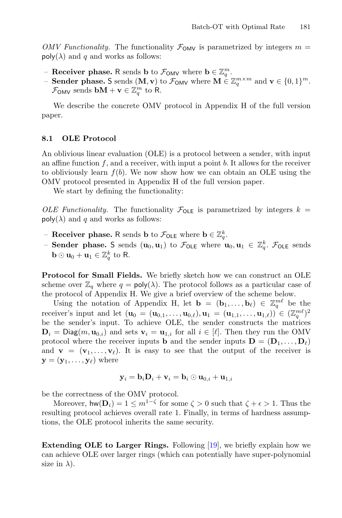*OMV Functionality.* The functionality  $\mathcal{F}_{OMV}$  is parametrized by integers  $m =$  $\text{poly}(\lambda)$  and q and works as follows:

- **Receiver phase.** R sends **b** to  $\mathcal{F}_{OMV}$  where  $\mathbf{b} \in \mathbb{Z}_q^m$ .<br>**Sondor phase.** S sends  $(M, v)$  to  $\mathcal{F}_{CMV}$  where  $M \subset \mathbb{Z}_q$ .
- **Sender phase.** S sends  $(\mathbf{M}, \mathbf{v})$  to  $\mathcal{F}_{OMV}$  where  $\mathbf{M} \in \mathbb{Z}_q^{m \times m}$  and  $\mathbf{v} \in \{0, 1\}^m$ .  $\mathcal{F}_{OMV}$  sends **bM** + **v**  $\in \mathbb{Z}_q^m$  to **R**.

We describe the concrete OMV protocol in Appendix H of the full version paper.

#### **8.1 OLE Protocol**

An oblivious linear evaluation (OLE) is a protocol between a sender, with input an affine function  $f$ , and a receiver, with input a point  $b$ . It allows for the receiver to obliviously learn  $f(b)$ . We now show how we can obtain an OLE using the OMV protocol presented in Appendix H of the full version paper.

We start by defining the functionality:

*OLE Functionality.* The functionality  $\mathcal{F}_{\text{OLE}}$  is parametrized by integers  $k =$  $\text{poly}(\lambda)$  and q and works as follows:

- − **Receiver phase.** R sends **b** to  $\mathcal{F}_{\text{OLE}}$  where **b**  $\in \mathbb{Z}_q^k$ .
- **Sender phase.** S sends  $(\mathbf{u}_0, \mathbf{u}_1)$  to  $\mathcal{F}_{\text{OLE}}$  where  $\mathbf{u}_0, \mathbf{u}_1 \in \mathbb{Z}_q^k$ .  $\mathcal{F}_{\text{OLE}}$  sends  $\mathbf{b} \odot \mathbf{u}_0 + \mathbf{u}_1 \in \mathbb{Z}_q^k$  to R.

**Protocol for Small Fields.** We briefly sketch how we can construct an OLE scheme over  $\mathbb{Z}_q$  where  $q = \text{poly}(\lambda)$ . The protocol follows as a particular case of the protocol of Appendix H. We give a brief overview of the scheme below.

Using the notation of Appendix H, let **b** =  $(\mathbf{b}_1, \ldots, \mathbf{b}_\ell) \in \mathbb{Z}_q^{m\ell}$  be the receiver's input and let  $({\bf u}_0 = ({\bf u}_{0,1}, \ldots, {\bf u}_{0,\ell}), {\bf u}_1 = ({\bf u}_{1,1}, \ldots, {\bf u}_{1,\ell}) ) \in (\mathbb{Z}_q^{m\ell})^2$ be the sender's input. To achieve OLE, the sender constructs the matrices  $\mathbf{D}_i = \text{Diag}(m, \mathbf{u}_{0,i})$  and sets  $\mathbf{v}_i = \mathbf{u}_{1,i}$  for all  $i \in [\ell]$ . Then they run the OMV protocol where the receiver inputs **b** and the sender inputs  $\mathbf{D} = (\mathbf{D}_1, \dots, \mathbf{D}_\ell)$ and  $\mathbf{v} = (\mathbf{v}_1, \dots, \mathbf{v}_\ell)$ . It is easy to see that the output of the receiver is  $\mathbf{y} = (\mathbf{y}_1, \dots, \mathbf{y}_\ell)$  where

$$
\mathbf{y}_i = \mathbf{b}_i \mathbf{D}_i + \mathbf{v}_i = \mathbf{b}_i \odot \mathbf{u}_{0,i} + \mathbf{u}_{1,i}
$$

be the correctness of the OMV protocol.

Moreover,  $\mathsf{hw}(\mathbf{D}_i)=1 \leq m^{1-\zeta}$  for some  $\zeta > 0$  such that  $\zeta + \epsilon > 1$ . Thus the resulting protocol achieves overall rate 1. Finally, in terms of hardness assumptions, the OLE protocol inherits the same security.

**Extending OLE to Larger Rings.** Following [\[19](#page-28-1)], we briefly explain how we can achieve OLE over larger rings (which can potentially have super-polynomial size in  $\lambda$ ).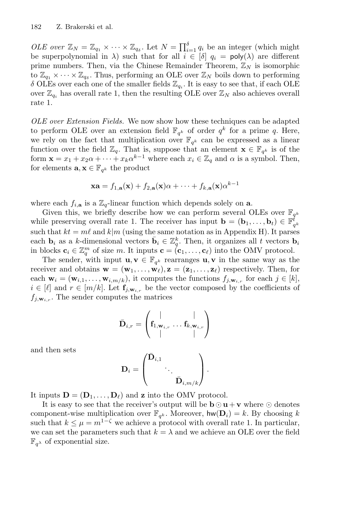*OLE over*  $\mathbb{Z}_N = \mathbb{Z}_q \times \cdots \times \mathbb{Z}_{q_\delta}$ . Let  $N = \prod_{i=1}^\delta q_i$  be an integer (which might be superpolynomial in  $\lambda$ ) such that for all  $i \in [\delta]$   $q_i = \text{poly}(\lambda)$  are different prime numbers. Then, via the Chinese Remainder Theorem,  $\mathbb{Z}_N$  is isomorphic to  $\mathbb{Z}_{q_1} \times \cdots \times \mathbb{Z}_{q_s}$ . Thus, performing an OLE over  $\mathbb{Z}_N$  boils down to performing δ OLEs over each one of the smaller fields  $\mathbb{Z}_q$ . It is easy to see that, if each OLE over  $\mathbb{Z}_{q_i}$  has overall rate 1, then the resulting OLE over  $\mathbb{Z}_N$  also achieves overall rate 1.

*OLE over Extension Fields.* We now show how these techniques can be adapted to perform OLE over an extension field  $\mathbb{F}_{q^k}$  of order  $q^k$  for a prime q. Here, we rely on the fact that multiplication over  $\mathbb{F}_{q^k}$  can be expressed as a linear function over the field  $\mathbb{Z}_q$ . That is, suppose that an element  $\mathbf{x} \in \mathbb{F}_{q^k}$  is of the form  $\mathbf{x} = x_1 + x_2 \alpha + \cdots + x_k \alpha^{k-1}$  where each  $x_i \in \mathbb{Z}_q$  and  $\alpha$  is a symbol. Then, for elements  $\mathbf{a}, \mathbf{x} \in \mathbb{F}_{q^k}$  the product

$$
\mathbf{x}\mathbf{a} = f_{1,\mathbf{a}}(\mathbf{x}) + f_{2,\mathbf{a}}(\mathbf{x})\alpha + \dots + f_{k,\mathbf{a}}(\mathbf{x})\alpha^{k-1}
$$

where each  $f_{i, \mathbf{a}}$  is a  $\mathbb{Z}_q$ -linear function which depends solely on **a**.

Given this, we briefly describe how we can perform several OLEs over  $\mathbb{F}_{q^k}$ while preserving overall rate 1. The receiver has input  $\mathbf{b} = (\mathbf{b}_1, \ldots, \mathbf{b}_t) \in \mathbb{F}_{q^k}^{\tilde{t}}$ such that  $kt = m\ell$  and  $k|m$  (using the same notation as in Appendix H). It parses each **b**<sub>i</sub> as a k-dimensional vectors  $\bar{\mathbf{b}}_i \in \mathbb{Z}_q^k$ . Then, it organizes all t vectors **b**<sub>i</sub> in blocks  $\mathbf{c}_i \in \mathbb{Z}_q^m$  of size m. It inputs  $\mathbf{c} = (\mathbf{c}_1, \dots, \mathbf{c}_\ell)$  into the OMV protocol.

The sender, with input  $\mathbf{u}, \mathbf{v} \in \mathbb{F}_{q^k}$  rearranges  $\mathbf{u}, \mathbf{v}$  in the same way as the receiver and obtains  $\mathbf{w} = (\mathbf{w}_1, \dots, \mathbf{w}_\ell), \mathbf{z} = (\mathbf{z}_1, \dots, \mathbf{z}_\ell)$  respectively. Then, for each  $\mathbf{w}_i = (\mathbf{w}_{i,1},\ldots,\mathbf{w}_{i,m/k})$ , it computes the functions  $f_{i,\mathbf{w}_{i,r}}$  for each  $j \in [k]$ ,  $i \in [\ell]$  and  $r \in [m/k]$ . Let  $\mathbf{f}_{j,\mathbf{w}_{i,r}}$  be the vector composed by the coefficients of  $f_{j,\mathbf{w}_{i,r}}$ . The sender computes the matrices

$$
\bar{\mathbf{D}}_{i,r} = \begin{pmatrix} | & & | \\ \mathbf{f}_{1,\mathbf{w}_{i,r}} \dots \mathbf{f}_{k,\mathbf{w}_{i,r}} \\ | & | \end{pmatrix}
$$

and then sets

$$
\mathbf{D}_i = \begin{pmatrix} \bar{\mathbf{D}}_{i,1} & & \\ & \ddots & \\ & & \bar{\mathbf{D}}_{i,m/k} \end{pmatrix}.
$$

It inputs  $\mathbf{D} = (\mathbf{D}_1, \dots, \mathbf{D}_\ell)$  and **z** into the OMV protocol.

It is easy to see that the receiver's output will be  $\mathbf{b} \odot \mathbf{u} + \mathbf{v}$  where  $\odot$  denotes component-wise multiplication over  $\mathbb{F}_{q^k}$ . Moreover,  $\text{hw}(\mathbf{D}_i) = k$ . By choosing k such that  $k \leq \mu = m^{1-\zeta}$  we achieve a protocol with overall rate 1. In particular, we can set the parameters such that  $k = \lambda$  and we achieve an OLE over the field  $\mathbb{F}_{q^{\lambda}}$  of exponential size.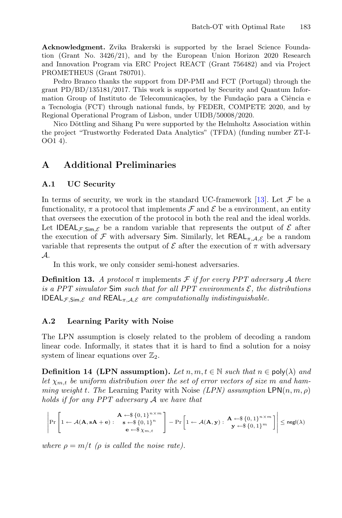**Acknowledgment.** Zvika Brakerski is supported by the Israel Science Foundation (Grant No. 3426/21), and by the European Union Horizon 2020 Research and Innovation Program via ERC Project REACT (Grant 756482) and via Project PROMETHEUS (Grant 780701).

Pedro Branco thanks the support from DP-PMI and FCT (Portugal) through the grant PD/BD/135181/2017. This work is supported by Security and Quantum Information Group of Instituto de Telecomunicações, by the Fundação para a Ciência e a Tecnologia (FCT) through national funds, by FEDER, COMPETE 2020, and by Regional Operational Program of Lisbon, under UIDB/50008/2020.

Nico Döttling and Sihang Pu were supported by the Helmholtz Association within the project "Trustworthy Federated Data Analytics" (TFDA) (funding number ZT-I-OO1 4).

## **A Additional Preliminaries**

### **A.1 UC Security**

In terms of security, we work in the standard UC-framework [\[13](#page-28-14)]. Let  $\mathcal F$  be a functionality,  $\pi$  a protocol that implements  $\mathcal F$  and  $\mathcal E$  be a environment, an entity that oversees the execution of the protocol in both the real and the ideal worlds. Let IDEAL<sub>F, Sim,  $\mathcal{E}$ </sub> be a random variable that represents the output of  $\mathcal{E}$  after the execution of F with adversary Sim. Similarly, let  $REAL_{\pi,A,\mathcal{E}}$  be a random variable that represents the output of  $\mathcal E$  after the execution of  $\pi$  with adversary A.

In this work, we only consider semi-honest adversaries.

**Definition 13.** *A protocol*  $\pi$  implements  $\mathcal F$  *if for every PPT adversary*  $\mathcal A$  *there is a PPT simulator* Sim *such that for all PPT environments* E*, the distributions* IDEAL $\mathcal{F}$ , Sim,  $\mathcal{E}$  and REAL $_{\pi,A,\mathcal{E}}$  are computationally indistinguishable.

### **A.2 Learning Parity with Noise**

The LPN assumption is closely related to the problem of decoding a random linear code. Informally, it states that it is hard to find a solution for a noisy system of linear equations over  $\mathbb{Z}_2$ .

**Definition 14 (LPN assumption).** Let  $n, m, t \in \mathbb{N}$  such that  $n \in \text{poly}(\lambda)$  and let  $\chi_{m,t}$  be uniform distribution over the set of error vectors of size m and ham*ming weight* t. The Learning Parity with Noise  $(LPN)$  assumption  $\text{LPN}(n, m, \rho)$ *holds if for any PPT adversary* A *we have that*

$$
\left|\Pr\left[1\leftarrow \mathcal{A}(\mathbf{A},\mathbf{s}\mathbf{A}+\mathbf{e}):\begin{array}{c}\mathbf{A}\leftarrow \$\left\{0,1\right\}^{n\times m} \\ \mathbf{s}\leftarrow \$\left\{0,1\right\}^{n}\end{array}\right]-\Pr\left[1\leftarrow \mathcal{A}(\mathbf{A},\mathbf{y}):\begin{array}{c}\mathbf{A}\leftarrow \$\left\{0,1\right\}^{n\times m} \\ \mathbf{y}\leftarrow \$\left\{0,1\right\}^{m}\end{array}\right]\right|\leq {\mathsf{negl}}(\lambda)
$$

*where*  $\rho = m/t$  *(* $\rho$  *is called the noise rate).*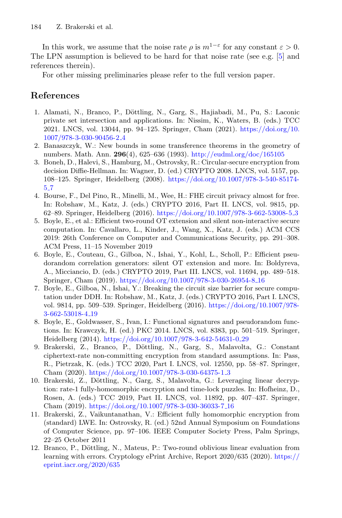In this work, we assume that the noise rate  $\rho$  is  $m^{1-\epsilon}$  for any constant  $\varepsilon > 0$ . The LPN assumption is believed to be hard for that noise rate (see e.g. [\[5](#page-27-0)] and references therein).

For other missing preliminaries please refer to the full version paper.

# **References**

- <span id="page-27-6"></span>1. Alamati, N., Branco, P., Döttling, N., Garg, S., Hajiabadi, M., Pu, S.: Laconic private set intersection and applications. In: Nissim, K., Waters, B. (eds.) TCC 2021. LNCS, vol. 13044, pp. 94–125. Springer, Cham (2021). [https://doi.org/10.](https://doi.org/10.1007/978-3-030-90456-2_4) [1007/978-3-030-90456-2](https://doi.org/10.1007/978-3-030-90456-2_4) 4
- <span id="page-27-11"></span>2. Banaszczyk, W.: New bounds in some transference theorems in the geometry of numbers. Math. Ann. **296**(4), 625–636 (1993). <http://eudml.org/doc/165105>
- <span id="page-27-4"></span>3. Boneh, D., Halevi, S., Hamburg, M., Ostrovsky, R.: Circular-secure encryption from decision Diffie-Hellman. In: Wagner, D. (ed.) CRYPTO 2008. LNCS, vol. 5157, pp. 108–125. Springer, Heidelberg (2008). [https://doi.org/10.1007/978-3-540-85174-](https://doi.org/10.1007/978-3-540-85174-5_7) [5](https://doi.org/10.1007/978-3-540-85174-5_7) 7
- <span id="page-27-5"></span>4. Bourse, F., Del Pino, R., Minelli, M., Wee, H.: FHE circuit privacy almost for free. In: Robshaw, M., Katz, J. (eds.) CRYPTO 2016, Part II. LNCS, vol. 9815, pp. 62–89. Springer, Heidelberg (2016). [https://doi.org/10.1007/978-3-662-53008-5](https://doi.org/10.1007/978-3-662-53008-5_3) 3
- <span id="page-27-0"></span>5. Boyle, E., et al.: Efficient two-round OT extension and silent non-interactive secure computation. In: Cavallaro, L., Kinder, J., Wang, X., Katz, J. (eds.) ACM CCS 2019: 26th Conference on Computer and Communications Security, pp. 291–308. ACM Press, 11–15 November 2019
- <span id="page-27-1"></span>6. Boyle, E., Couteau, G., Gilboa, N., Ishai, Y., Kohl, L., Scholl, P.: Efficient pseudorandom correlation generators: silent OT extension and more. In: Boldyreva, A., Micciancio, D. (eds.) CRYPTO 2019, Part III. LNCS, vol. 11694, pp. 489–518. Springer, Cham (2019). [https://doi.org/10.1007/978-3-030-26954-8](https://doi.org/10.1007/978-3-030-26954-8_16) 16
- <span id="page-27-7"></span>7. Boyle, E., Gilboa, N., Ishai, Y.: Breaking the circuit size barrier for secure computation under DDH. In: Robshaw, M., Katz, J. (eds.) CRYPTO 2016, Part I. LNCS, vol. 9814, pp. 509–539. Springer, Heidelberg (2016). [https://doi.org/10.1007/978-](https://doi.org/10.1007/978-3-662-53018-4_19) [3-662-53018-4](https://doi.org/10.1007/978-3-662-53018-4_19) 19
- <span id="page-27-9"></span>8. Boyle, E., Goldwasser, S., Ivan, I.: Functional signatures and pseudorandom functions. In: Krawczyk, H. (ed.) PKC 2014. LNCS, vol. 8383, pp. 501–519. Springer, Heidelberg (2014). [https://doi.org/10.1007/978-3-642-54631-0](https://doi.org/10.1007/978-3-642-54631-0_29) 29
- <span id="page-27-8"></span>9. Brakerski, Z., Branco, P., Döttling, N., Garg, S., Malavolta, G.: Constant ciphertext-rate non-committing encryption from standard assumptions. In: Pass, R., Pietrzak, K. (eds.) TCC 2020, Part I. LNCS, vol. 12550, pp. 58–87. Springer, Cham (2020). [https://doi.org/10.1007/978-3-030-64375-1](https://doi.org/10.1007/978-3-030-64375-1_3) 3
- <span id="page-27-2"></span>10. Brakerski, Z., Döttling, N., Garg, S., Malavolta, G.: Leveraging linear decryption: rate-1 fully-homomorphic encryption and time-lock puzzles. In: Hofheinz, D., Rosen, A. (eds.) TCC 2019, Part II. LNCS, vol. 11892, pp. 407–437. Springer, Cham (2019). [https://doi.org/10.1007/978-3-030-36033-7](https://doi.org/10.1007/978-3-030-36033-7_16) 16
- <span id="page-27-10"></span>11. Brakerski, Z., Vaikuntanathan, V.: Efficient fully homomorphic encryption from (standard) LWE. In: Ostrovsky, R. (ed.) 52nd Annual Symposium on Foundations of Computer Science, pp. 97–106. IEEE Computer Society Press, Palm Springs, 22–25 October 2011
- <span id="page-27-3"></span>12. Branco, P., Döttling, N., Mateus, P.: Two-round oblivious linear evaluation from learning with errors. Cryptology ePrint Archive, Report 2020/635 (2020). [https://](https://eprint.iacr.org/2020/635) [eprint.iacr.org/2020/635](https://eprint.iacr.org/2020/635)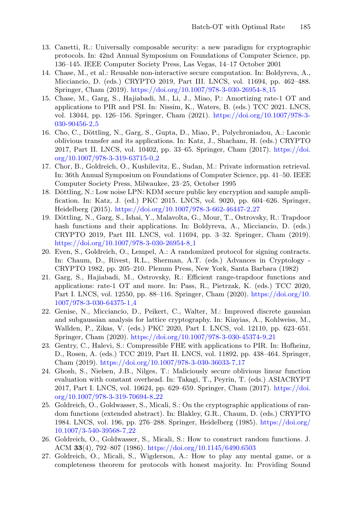- <span id="page-28-14"></span>13. Canetti, R.: Universally composable security: a new paradigm for cryptographic protocols. In: 42nd Annual Symposium on Foundations of Computer Science, pp. 136–145. IEEE Computer Society Press, Las Vegas, 14–17 October 2001
- <span id="page-28-3"></span>14. Chase, M., et al.: Reusable non-interactive secure computation. In: Boldyreva, A., Micciancio, D. (eds.) CRYPTO 2019, Part III. LNCS, vol. 11694, pp. 462–488. Springer, Cham (2019). [https://doi.org/10.1007/978-3-030-26954-8](https://doi.org/10.1007/978-3-030-26954-8_15) 15
- <span id="page-28-6"></span>15. Chase, M., Garg, S., Hajiabadi, M., Li, J., Miao, P.: Amortizing rate-1 OT and applications to PIR and PSI. In: Nissim, K., Waters, B. (eds.) TCC 2021. LNCS, vol. 13044, pp. 126–156. Springer, Cham (2021). [https://doi.org/10.1007/978-3-](https://doi.org/10.1007/978-3-030-90456-2_5) [030-90456-2](https://doi.org/10.1007/978-3-030-90456-2_5) 5
- <span id="page-28-8"></span>16. Cho, C., Döttling, N., Garg, S., Gupta, D., Miao, P., Polychroniadou, A.: Laconic oblivious transfer and its applications. In: Katz, J., Shacham, H. (eds.) CRYPTO 2017, Part II. LNCS, vol. 10402, pp. 33–65. Springer, Cham (2017). [https://doi.](https://doi.org/10.1007/978-3-319-63715-0_2) [org/10.1007/978-3-319-63715-0](https://doi.org/10.1007/978-3-319-63715-0_2) 2
- <span id="page-28-11"></span>17. Chor, B., Goldreich, O., Kushilevitz, E., Sudan, M.: Private information retrieval. In: 36th Annual Symposium on Foundations of Computer Science, pp. 41–50. IEEE Computer Society Press, Milwaukee, 23–25, October 1995
- <span id="page-28-10"></span>18. Döttling, N.: Low noise LPN: KDM secure public key encryption and sample amplification. In: Katz, J. (ed.) PKC 2015. LNCS, vol. 9020, pp. 604–626. Springer, Heidelberg (2015). [https://doi.org/10.1007/978-3-662-46447-2](https://doi.org/10.1007/978-3-662-46447-2_27) 27
- <span id="page-28-1"></span>19. Döttling, N., Garg, S., Ishai, Y., Malavolta, G., Mour, T., Ostrovsky, R.: Trapdoor hash functions and their applications. In: Boldyreva, A., Micciancio, D. (eds.) CRYPTO 2019, Part III. LNCS, vol. 11694, pp. 3–32. Springer, Cham (2019). [https://doi.org/10.1007/978-3-030-26954-8](https://doi.org/10.1007/978-3-030-26954-8_1)<sub>-1</sub>
- <span id="page-28-0"></span>20. Even, S., Goldreich, O., Lempel, A.: A randomized protocol for signing contracts. In: Chaum, D., Rivest, R.L., Sherman, A.T. (eds.) Advances in Cryptology - CRYPTO 1982, pp. 205–210. Plenum Press, New York, Santa Barbara (1982)
- <span id="page-28-7"></span>21. Garg, S., Hajiabadi, M., Ostrovsky, R.: Efficient range-trapdoor functions and applications: rate-1 OT and more. In: Pass, R., Pietrzak, K. (eds.) TCC 2020, Part I. LNCS, vol. 12550, pp. 88–116. Springer, Cham (2020). [https://doi.org/10.](https://doi.org/10.1007/978-3-030-64375-1_4) [1007/978-3-030-64375-1](https://doi.org/10.1007/978-3-030-64375-1_4) 4
- <span id="page-28-12"></span>22. Genise, N., Micciancio, D., Peikert, C., Walter, M.: Improved discrete gaussian and subgaussian analysis for lattice cryptography. In: Kiayias, A., Kohlweiss, M., Wallden, P., Zikas, V. (eds.) PKC 2020, Part I. LNCS, vol. 12110, pp. 623–651. Springer, Cham (2020). [https://doi.org/10.1007/978-3-030-45374-9](https://doi.org/10.1007/978-3-030-45374-9_21) 21
- <span id="page-28-2"></span>23. Gentry, C., Halevi, S.: Compressible FHE with applications to PIR. In: Hofheinz, D., Rosen, A. (eds.) TCC 2019, Part II. LNCS, vol. 11892, pp. 438–464. Springer, Cham (2019). [https://doi.org/10.1007/978-3-030-36033-7](https://doi.org/10.1007/978-3-030-36033-7_17) 17
- <span id="page-28-4"></span>24. Ghosh, S., Nielsen, J.B., Nilges, T.: Maliciously secure oblivious linear function evaluation with constant overhead. In: Takagi, T., Peyrin, T. (eds.) ASIACRYPT 2017, Part I. LNCS, vol. 10624, pp. 629–659. Springer, Cham (2017). [https://doi.](https://doi.org/10.1007/978-3-319-70694-8_22) [org/10.1007/978-3-319-70694-8](https://doi.org/10.1007/978-3-319-70694-8_22) 22
- <span id="page-28-9"></span>25. Goldreich, O., Goldwasser, S., Micali, S.: On the cryptographic applications of random functions (extended abstract). In: Blakley, G.R., Chaum, D. (eds.) CRYPTO 1984. LNCS, vol. 196, pp. 276–288. Springer, Heidelberg (1985). [https://doi.org/](https://doi.org/10.1007/3-540-39568-7_22) [10.1007/3-540-39568-7](https://doi.org/10.1007/3-540-39568-7_22) 22
- <span id="page-28-13"></span>26. Goldreich, O., Goldwasser, S., Micali, S.: How to construct random functions. J. ACM **33**(4), 792–807 (1986). <https://doi.org/10.1145/6490.6503>
- <span id="page-28-5"></span>27. Goldreich, O., Micali, S., Wigderson, A.: How to play any mental game, or a completeness theorem for protocols with honest majority. In: Providing Sound